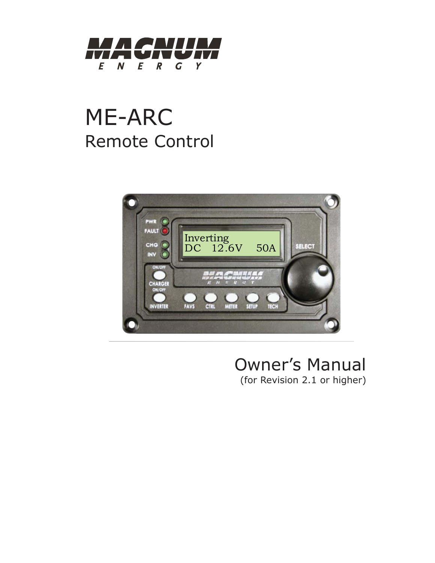

# ME-ARC Remote Control



# Owner's Manual (for Revision 2.1 or higher)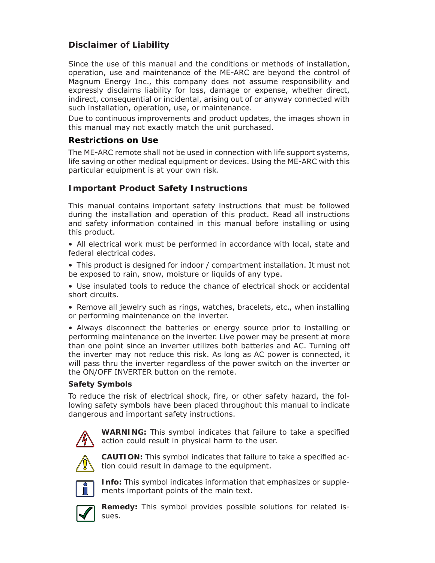# **Disclaimer of Liability**

Since the use of this manual and the conditions or methods of installation, operation, use and maintenance of the ME-ARC are beyond the control of Magnum Energy Inc., this company does not assume responsibility and expressly disclaims liability for loss, damage or expense, whether direct, indirect, consequential or incidental, arising out of or anyway connected with such installation, operation, use, or maintenance.

Due to continuous improvements and product updates, the images shown in this manual may not exactly match the unit purchased.

#### **Restrictions on Use**

The ME-ARC remote shall not be used in connection with life support systems, life saving or other medical equipment or devices. Using the ME-ARC with this particular equipment is at your own risk.

#### **Important Product Safety Instructions**

This manual contains important safety instructions that must be followed during the installation and operation of this product. Read all instructions and safety information contained in this manual before installing or using this product.

- All electrical work must be performed in accordance with local, state and federal electrical codes.
- This product is designed for indoor / compartment installation. It must not be exposed to rain, snow, moisture or liquids of any type.
- Use insulated tools to reduce the chance of electrical shock or accidental short circuits.
- Remove all jewelry such as rings, watches, bracelets, etc., when installing or performing maintenance on the inverter.

• Always disconnect the batteries or energy source prior to installing or performing maintenance on the inverter. Live power may be present at more than one point since an inverter utilizes both batteries and AC. Turning off the inverter may not reduce this risk. As long as AC power is connected, it will pass thru the inverter regardless of the power switch on the inverter or the ON/OFF INVERTER button on the remote.

#### **Safety Symbols**

To reduce the risk of electrical shock, fire, or other safety hazard, the following safety symbols have been placed throughout this manual to indicate dangerous and important safety instructions.



**WARNING:** This symbol indicates that failure to take a specified action could result in physical harm to the user.



**CAUTION:** This symbol indicates that failure to take a specified action could result in damage to the equipment.



**Info:** This symbol indicates information that emphasizes or supplements important points of the main text.



**Remedy:** This symbol provides possible solutions for related issues.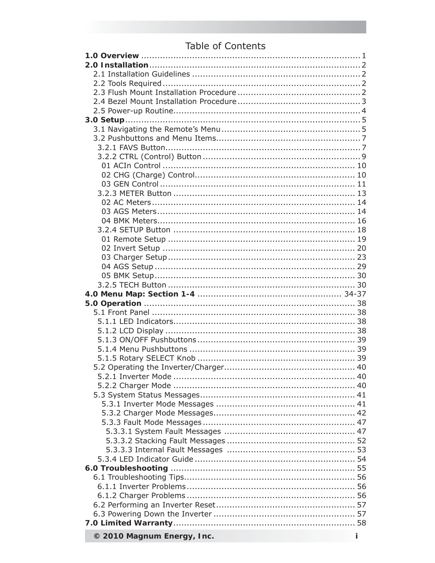# Table of Contents

| © 2010 Magnum Fnergy, Inc. |
|----------------------------|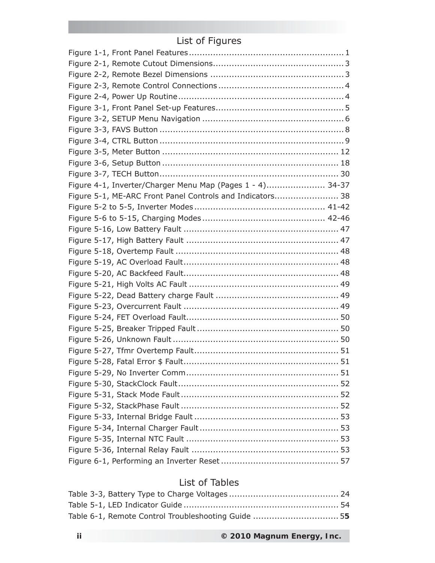# List of Figures

| Figure 4-1, Inverter/Charger Menu Map (Pages 1 - 4) 34-37 |  |
|-----------------------------------------------------------|--|
| Figure 5-1, ME-ARC Front Panel Controls and Indicators 38 |  |
|                                                           |  |
|                                                           |  |
|                                                           |  |
|                                                           |  |
|                                                           |  |
|                                                           |  |
|                                                           |  |
|                                                           |  |
|                                                           |  |
|                                                           |  |
|                                                           |  |
|                                                           |  |
|                                                           |  |
|                                                           |  |
|                                                           |  |
|                                                           |  |
|                                                           |  |
|                                                           |  |
|                                                           |  |
|                                                           |  |
|                                                           |  |
|                                                           |  |
|                                                           |  |
|                                                           |  |

# List of Tables

| Table 6-1, Remote Control Troubleshooting Guide  55 |  |
|-----------------------------------------------------|--|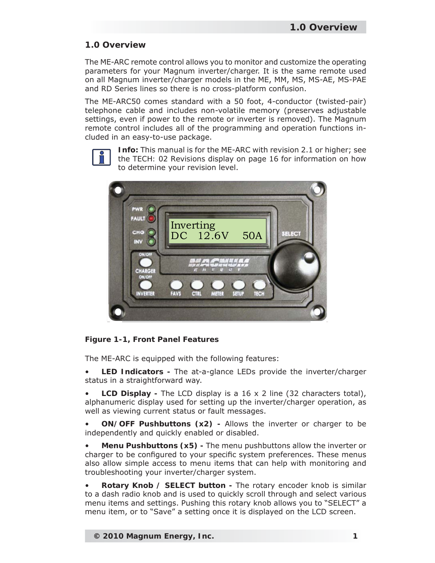### **1.0 Overview**

The ME-ARC remote control allows you to monitor and customize the operating parameters for your Magnum inverter/charger. It is the same remote used on all Magnum inverter/charger models in the ME, MM, MS, MS-AE, MS-PAE and RD Series lines so there is no cross-platform confusion.

The ME-ARC50 comes standard with a 50 foot, 4-conductor (twisted-pair) telephone cable and includes non-volatile memory (preserves adjustable settings, even if power to the remote or inverter is removed). The Magnum remote control includes all of the programming and operation functions included in an easy-to-use package.



**Info:** This manual is for the ME-ARC with revision 2.1 or higher; see the *TECH: 02 Revisions* display on page 16 for information on how to determine your revision level.



*Figure 1-1, Front Panel Features*

The ME-ARC is equipped with the following features:

• **LED Indicators** *-* The at-a-glance LEDs provide the inverter/charger status in a straightforward way.

• **LCD Display** *-* The LCD display is a 16 x 2 line (32 characters total), alphanumeric display used for setting up the inverter/charger operation, as well as viewing current status or fault messages.

• **ON/OFF Pushbuttons (x2)** *-* Allows the inverter or charger to be independently and quickly enabled or disabled.

• **Menu Pushbuttons (x5)** *-* The menu pushbuttons allow the inverter or charger to be configured to your specific system preferences. These menus also allow simple access to menu items that can help with monitoring and troubleshooting your inverter/charger system.

• **Rotary Knob / SELECT button -** The rotary encoder knob is similar to a dash radio knob and is used to quickly scroll through and select various menu items and settings. Pushing this rotary knob allows you to "SELECT" a menu item, or to "Save" a setting once it is displayed on the LCD screen.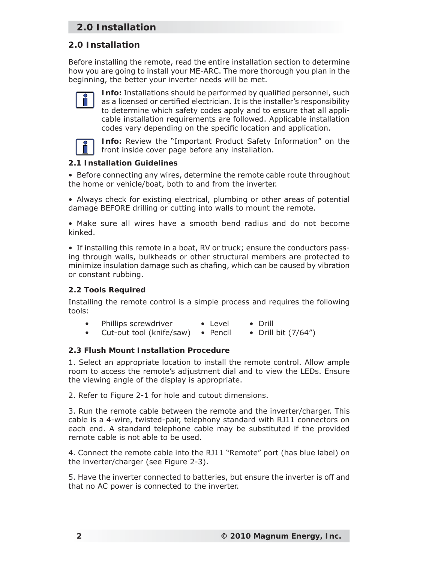# **2.0 Installation**

### **2.0 Installation**

Before installing the remote, read the entire installation section to determine how you are going to install your ME-ARC. The more thorough you plan in the beginning, the better your inverter needs will be met.



**Info:** Installations should be performed by qualified personnel, such as a licensed or certified electrician. It is the installer's responsibility to determine which safety codes apply and to ensure that all applicable installation requirements are followed. Applicable installation codes vary depending on the specific location and application.



**Info:** Review the "Important Product Safety Information" on the front inside cover page before any installation.

#### **2.1 Installation Guidelines**

• Before connecting any wires, determine the remote cable route throughout the home or vehicle/boat, both to and from the inverter.

• Always check for existing electrical, plumbing or other areas of potential damage BEFORE drilling or cutting into walls to mount the remote.

• Make sure all wires have a smooth bend radius and do not become kinked.

• If installing this remote in a boat, RV or truck; ensure the conductors passing through walls, bulkheads or other structural members are protected to minimize insulation damage such as chafing, which can be caused by vibration or constant rubbing.

#### **2.2 Tools Required**

Installing the remote control is a simple process and requires the following tools:

- Phillips screwdriver Level Drill
- Cut-out tool (knife/saw) Pencil Drill bit (7/64")

#### **2.3 Flush Mount Installation Procedure**

1. Select an appropriate location to install the remote control. Allow ample room to access the remote's adjustment dial and to view the LEDs. Ensure the viewing angle of the display is appropriate.

2. Refer to Figure 2-1 for hole and cutout dimensions.

3. Run the remote cable between the remote and the inverter/charger. This cable is a 4-wire, twisted-pair, telephony standard with RJ11 connectors on each end. A standard telephone cable may be substituted if the provided remote cable is not able to be used.

4. Connect the remote cable into the RJ11 "Remote" port (has blue label) on the inverter/charger (see Figure 2-3).

5. Have the inverter connected to batteries, but ensure the inverter is off and that no AC power is connected to the inverter.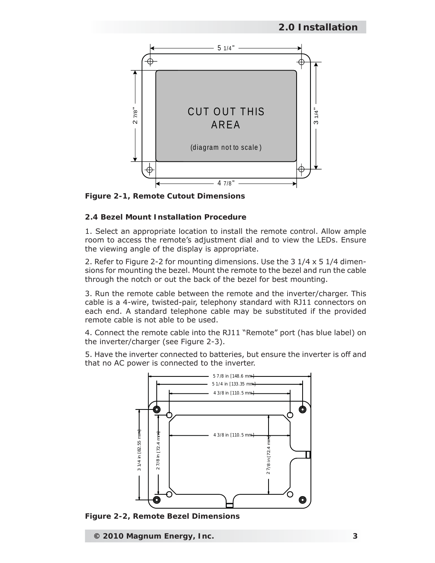

*Figure 2-1, Remote Cutout Dimensions*

#### **2.4 Bezel Mount Installation Procedure**

1. Select an appropriate location to install the remote control. Allow ample room to access the remote's adjustment dial and to view the LEDs. Ensure the viewing angle of the display is appropriate.

2. Refer to Figure 2-2 for mounting dimensions. Use the 3 1/4 x 5 1/4 dimensions for mounting the bezel. Mount the remote to the bezel and run the cable through the notch or out the back of the bezel for best mounting.

3. Run the remote cable between the remote and the inverter/charger. This cable is a 4-wire, twisted-pair, telephony standard with RJ11 connectors on each end. A standard telephone cable may be substituted if the provided remote cable is not able to be used.

4. Connect the remote cable into the RJ11 "Remote" port (has blue label) on the inverter/charger (see Figure 2-3).

5. Have the inverter connected to batteries, but ensure the inverter is off and that no AC power is connected to the inverter.



*Figure 2-2, Remote Bezel Dimensions*

**© 2010 Magnum Energy, Inc. 3**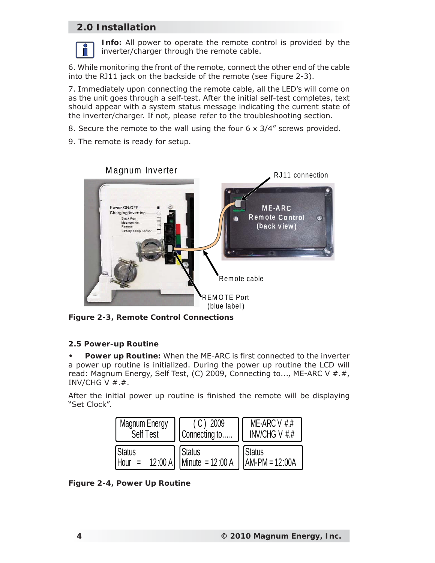# **2.0 Installation**



**Info:** All power to operate the remote control is provided by the inverter/charger through the remote cable.

6. While monitoring the front of the remote, connect the other end of the cable into the RJ11 jack on the backside of the remote (see Figure 2-3).

7. Immediately upon connecting the remote cable, all the LED's will come on as the unit goes through a self-test. After the initial self-test completes, text should appear with a system status message indicating the current state of the inverter/charger. If not, please refer to the troubleshooting section.

8. Secure the remote to the wall using the four 6 x 3/4" screws provided.

9. The remote is ready for setup.



*Figure 2-3, Remote Control Connections*

#### **2.5 Power-up Routine**

**Power up Routine:** When the ME-ARC is first connected to the inverter a power up routine is initialized. During the power up routine the LCD will read: Magnum Energy, Self Test, (C) 2009, Connecting to..., ME-ARC V #.#, INV/CHG V  $#.*$ . **•**

After the initial power up routine is finished the remote will be displaying "Set Clock".



*Figure 2-4, Power Up Routine*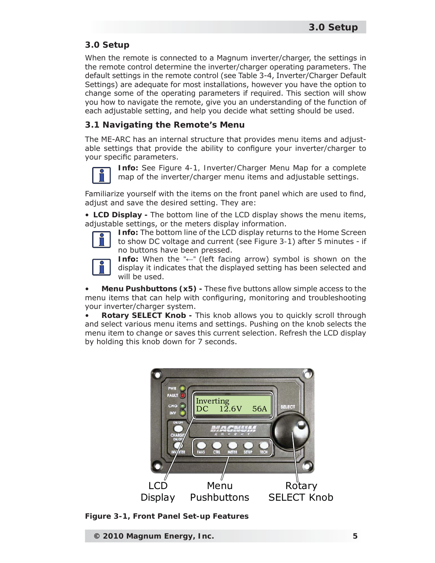When the remote is connected to a Magnum inverter/charger, the settings in the remote control determine the inverter/charger operating parameters. The default settings in the remote control (see Table 3-4, Inverter/Charger Default Settings) are adequate for most installations, however you have the option to change some of the operating parameters if required. This section will show you how to navigate the remote, give you an understanding of the function of each adjustable setting, and help you decide what setting should be used.

### **3.1 Navigating the Remote's Menu**

The ME-ARC has an internal structure that provides menu items and adjustable settings that provide the ability to configure your inverter/charger to your specific parameters.



**Info:** See Figure *4-1, Inverter/Charger Menu Map* for a complete map of the inverter/charger menu items and adjustable settings.

Familiarize yourself with the items on the front panel which are used to find, adjust and save the desired setting. They are:

• **LCD Display** *-* The bottom line of the LCD display shows the menu items, adjustable settings, or the meters display information.



**Info:** The bottom line of the LCD display returns to the Home Screen to show DC voltage and current (see *Figure 3-1*) after 5 minutes - if no buttons have been pressed.



**Info:** When the "**←**" (left facing arrow) symbol is shown on the display it indicates that the displayed setting has been selected and will be used.

**Menu Pushbuttons (x5)** - These five buttons allow simple access to the menu items that can help with configuring, monitoring and troubleshooting your inverter/charger system.

• **Rotary SELECT Knob -** This knob allows you to quickly scroll through and select various menu items and settings. Pushing on the knob selects the menu item to change or saves this current selection. Refresh the LCD display by holding this knob down for 7 seconds.



*Figure 3-1, Front Panel Set-up Features*

**© 2010 Magnum Energy, Inc. 5**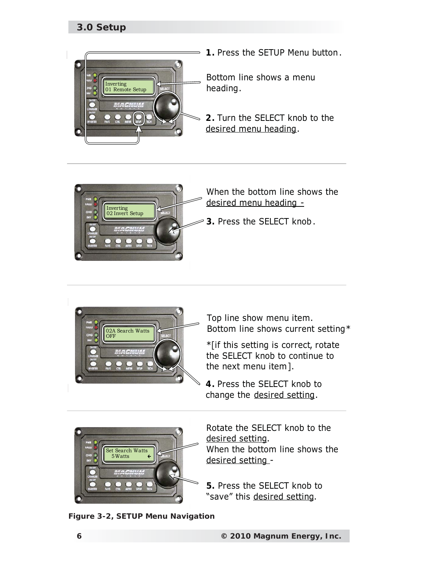

**1.** Press the SETUP Menu button .

Bottom line shows a menu heading.

**2.** Turn the SELECT knob to the desired menu heading.





Top line show menu item. Bottom line shows current setting\*

\*[if this setting is correct, rotate the SELECT knob to continue to the next menu item].

**4.** Press the SELECT knob to change the desired setting.



Rotate the SELECT knob to the desired setting. When the bottom line shows the desired setting -

**5.** Press the SELECT knob to "save" this desired setting.

*Figure 3-2, SETUP Menu Navigation*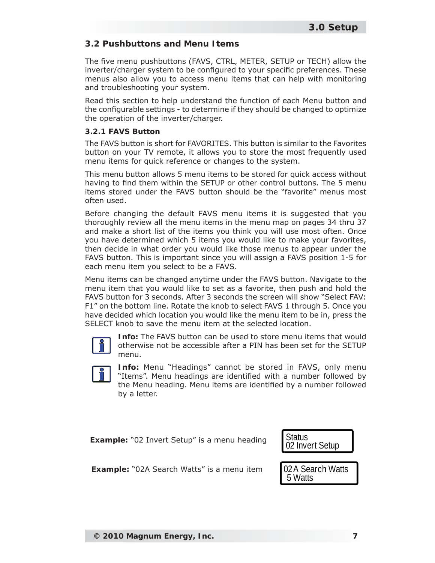#### **3.2 Pushbuttons and Menu Items**

The five menu pushbuttons (FAVS, CTRL, METER, SETUP or TECH) allow the inverter/charger system to be configured to your specific preferences. These menus also allow you to access menu items that can help with monitoring and troubleshooting your system.

Read this section to help understand the function of each Menu button and the configurable settings - to determine if they should be changed to optimize the operation of the inverter/charger.

#### **3.2.1 FAVS Button**

The FAVS button is short for FAVORITES. This button is similar to the Favorites button on your TV remote, it allows you to store the most frequently used menu items for quick reference or changes to the system.

This menu button allows 5 menu items to be stored for quick access without having to find them within the SETUP or other control buttons. The 5 menu items stored under the FAVS button should be the "favorite" menus most often used.

Before changing the default FAVS menu items it is suggested that you thoroughly review all the menu items in the menu map on pages 34 thru 37 and make a short list of the items you think you will use most often. Once you have determined which 5 items you would like to make your favorites, then decide in what order you would like those menus to appear under the FAVS button. This is important since you will assign a FAVS position 1-5 for each menu item you select to be a FAVS.

Menu items can be changed anytime under the FAVS button. Navigate to the menu item that you would like to set as a favorite, then push and hold the FAVS button for 3 seconds. After 3 seconds the screen will show "Select FAV: F1" on the bottom line. Rotate the knob to select FAVS 1 through 5. Once you have decided which location you would like the menu item to be in, press the SELECT knob to save the menu item at the selected location.



**Info:** The FAVS button can be used to store menu items that would otherwise not be accessible after a PIN has been set for the SETUP menu.



**Info:** Menu "Headings" cannot be stored in FAVS, only menu "Items". Menu headings are identified with a number followed by the Menu heading. Menu items are identified by a number followed by a letter.

**Example:** "02 Invert Setup" is a menu heading



**Example:** "02A Search Watts" is a menu item

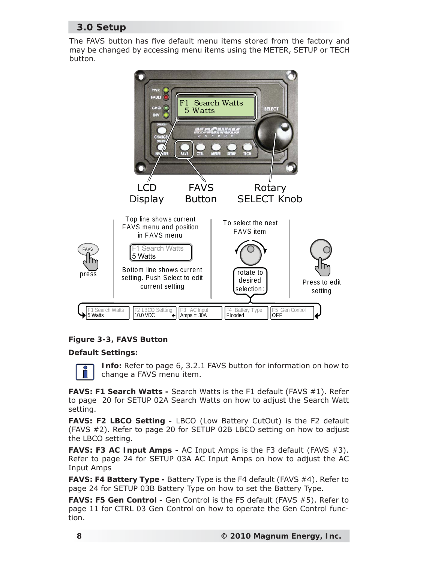The FAVS button has five default menu items stored from the factory and may be changed by accessing menu items using the METER, SETUP or TECH button.



#### *Figure 3-3, FAVS Button*

#### **Default Settings:**

**Info:** Refer to page 6, 3.2.1 FAVS button for information on how to change a FAVS menu item.

**FAVS: F1 Search Watts -** Search Watts is the F1 default (FAVS #1). Refer to page 20 for SETUP 02A Search Watts on how to adjust the Search Watt setting.

**FAVS: F2 LBCO Setting -** LBCO (Low Battery CutOut) is the F2 default (FAVS #2). Refer to page 20 for SETUP 02B LBCO setting on how to adjust the LBCO setting.

**FAVS: F3 AC Input Amps -** AC Input Amps is the F3 default (FAVS #3). Refer to page 24 for SETUP 03A AC Input Amps on how to adjust the AC Input Amps

**FAVS: F4 Battery Type -** Battery Type is the F4 default (FAVS #4). Refer to page 24 for SETUP 03B Battery Type on how to set the Battery Type.

FAVS: F5 Gen Control - Gen Control is the F5 default (FAVS #5). Refer to page 11 for CTRL 03 Gen Control on how to operate the Gen Control function.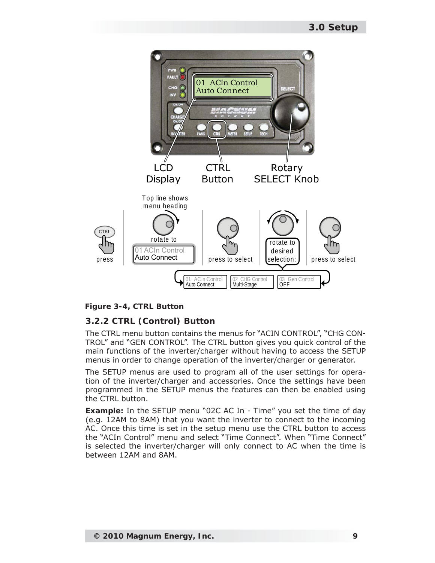

*Figure 3-4, CTRL Button*

# **3.2.2 CTRL (Control) Button**

The CTRL menu button contains the menus for "ACIN CONTROL", "CHG CON-TROL" and "GEN CONTROL". The CTRL button gives you quick control of the main functions of the inverter/charger without having to access the SETUP menus in order to change operation of the inverter/charger or generator.

The SETUP menus are used to program all of the user settings for operation of the inverter/charger and accessories. Once the settings have been programmed in the SETUP menus the features can then be enabled using the CTRL button.

**Example:** In the SETUP menu "02C AC In - Time" you set the time of day (e.g. 12AM to 8AM) that you want the inverter to connect to the incoming AC. Once this time is set in the setup menu use the CTRL button to access the "ACIn Control" menu and select "Time Connect". When "Time Connect" is selected the inverter/charger will only connect to AC when the time is between 12AM and 8AM.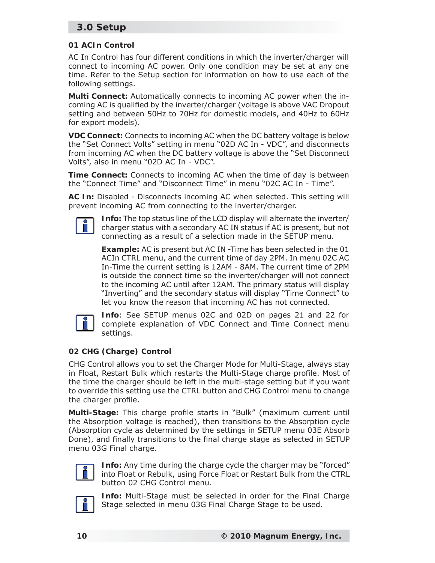#### **01 ACIn Control**

AC In Control has four different conditions in which the inverter/charger will connect to incoming AC power. Only one condition may be set at any one time. Refer to the Setup section for information on how to use each of the following settings.

**Multi Connect:** Automatically connects to incoming AC power when the incoming AC is qualified by the inverter/charger (voltage is above VAC Dropout setting and between 50Hz to 70Hz for domestic models, and 40Hz to 60Hz for export models).

**VDC Connect:** Connects to incoming AC when the DC battery voltage is below the "Set Connect Volts" setting in menu "02D AC In - VDC", and disconnects from incoming AC when the DC battery voltage is above the "Set Disconnect Volts", also in menu "02D AC In - VDC".

**Time Connect:** Connects to incoming AC when the time of day is between the "Connect Time" and "Disconnect Time" in menu "02C AC In - Time".

**AC In:** Disabled - Disconnects incoming AC when selected. This setting will prevent incoming AC from connecting to the inverter/charger.



**Info:** The top status line of the LCD display will alternate the inverter/ charger status with a *secondary* AC IN status if AC is present, but not connecting as a result of a selection made in the SETUP menu.

**Example:** AC is present but AC IN -Time has been selected in the 01 ACIn CTRL menu, and the current time of day 2PM. In menu 02C AC In-Time the current setting is 12AM - 8AM. The current time of 2PM is outside the connect time so the inverter/charger will not connect to the incoming AC until after 12AM. The *primary* status will display "Inverting" and the *secondary* status will display "Time Connect" to let you know the reason that incoming AC has not connected.



**Info**: See SETUP menus 02C and 02D on pages 21 and 22 for complete explanation of VDC Connect and Time Connect menu settings.

#### **02 CHG (Charge) Control**

CHG Control allows you to set the Charger Mode for Multi-Stage, always stay in Float, Restart Bulk which restarts the Multi-Stage charge profile. Most of the time the charger should be left in the multi-stage setting but if you want to override this setting use the CTRL button and CHG Control menu to change the charger profile.

**Multi-Stage:** This charge profile starts in "Bulk" (maximum current until the Absorption voltage is reached), then transitions to the Absorption cycle (Absorption cycle as determined by the settings in SETUP menu 03E Absorb Done), and finally transitions to the final charge stage as selected in SETUP menu 03G Final charge.



**Info:** Any time during the charge cycle the charger may be "forced" into Float or Rebulk, using Force Float or Restart Bulk from the CTRL button 02 CHG Control menu.



**Info:** Multi-Stage must be selected in order for the Final Charge Stage selected in menu 03G Final Charge Stage to be used.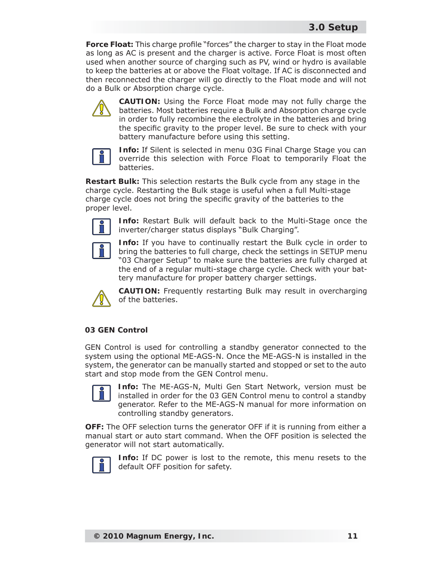**Force Float:** This charge profile "forces" the charger to stay in the Float mode as long as AC is present and the charger is active. Force Float is most often used when another source of charging such as PV, wind or hydro is available to keep the batteries at or above the Float voltage. If AC is disconnected and then reconnected the charger will go directly to the Float mode and will not do a Bulk or Absorption charge cycle.



**CAUTION:** Using the Force Float mode may not fully charge the batteries. Most batteries require a Bulk and Absorption charge cycle in order to fully recombine the electrolyte in the batteries and bring the specific gravity to the proper level. Be sure to check with your battery manufacture before using this setting.



**Info:** If Silent is selected in menu 03G Final Charge Stage you can override this selection with Force Float to temporarily Float the batteries.

**Restart Bulk:** This selection restarts the Bulk cycle from any stage in the charge cycle. Restarting the Bulk stage is useful when a full Multi-stage charge cycle does not bring the specific gravity of the batteries to the proper level.



**Info:** Restart Bulk will default back to the Multi-Stage once the inverter/charger status displays "Bulk Charging".



**Info:** If you have to continually restart the Bulk cycle in order to bring the batteries to full charge, check the settings in SETUP menu "03 Charger Setup" to make sure the batteries are fully charged at the end of a regular multi-stage charge cycle. Check with your battery manufacture for proper battery charger settings.



**CAUTION:** Frequently restarting Bulk may result in overcharging of the batteries.

#### **03 GEN Control**

GEN Control is used for controlling a standby generator connected to the system using the optional ME-AGS-N. Once the ME-AGS-N is installed in the system, the generator can be manually started and stopped or set to the auto start and stop mode from the GEN Control menu.



**Info:** The ME-AGS-N, Multi Gen Start Network, version must be installed in order for the 03 GEN Control menu to control a standby generator. Refer to the ME-AGS-N manual for more information on controlling standby generators.

**OFF:** The OFF selection turns the generator OFF if it is running from either a manual start or auto start command. When the OFF position is selected the generator will not start automatically.



**Info:** If DC power is lost to the remote, this menu resets to the default OFF position for safety.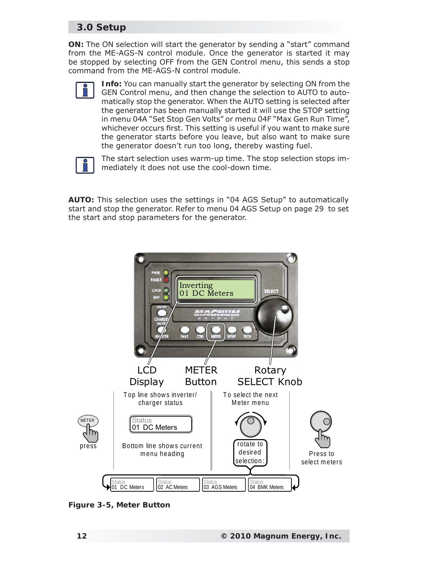**ON:** The ON selection will start the generator by sending a "start" command from the ME-AGS-N control module. Once the generator is started it may be stopped by selecting OFF from the GEN Control menu, this sends a stop command from the ME-AGS-N control module.



**Info:** You can manually start the generator by selecting ON from the GEN Control menu, and then change the selection to AUTO to automatically stop the generator. When the AUTO setting is selected after the generator has been manually started it will use the STOP setting in menu 04A "Set Stop Gen Volts" or menu 04F "Max Gen Run Time", whichever occurs first. This setting is useful if you want to make sure the generator starts before you leave, but also want to make sure the generator doesn't run too long, thereby wasting fuel.



The start selection uses warm-up time. The stop selection stops immediately it does not use the cool-down time.

**AUTO:** This selection uses the settings in "04 AGS Setup" to automatically start and stop the generator. Refer to menu 04 AGS Setup on page 29 to set the start and stop parameters for the generator.



*Figure 3-5, Meter Button*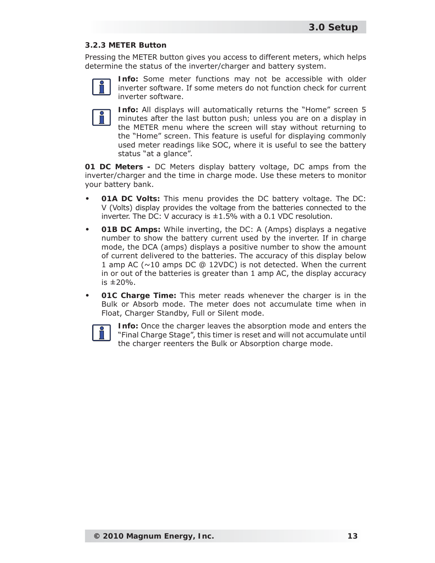#### **3.2.3 METER Button**

Pressing the METER button gives you access to different meters, which helps determine the status of the inverter/charger and battery system.



**Info:** Some meter functions may not be accessible with older inverter software. If some meters do not function check for current inverter software.



**Info:** All displays will automatically returns the "Home" screen 5 minutes after the *last button push;* unless you are on a display in the METER menu where the screen will stay without returning to the "Home" screen. This feature is useful for displaying commonly used meter readings like SOC, where it is useful to see the battery status "at a glance".

**01 DC Meters -** DC Meters display battery voltage, DC amps from the inverter/charger and the time in charge mode. Use these meters to monitor your battery bank.

- **01A DC Volts:** This menu provides the DC battery voltage. The DC: V (Volts) display provides the voltage from the batteries connected to the inverter. The DC: V accuracy is  $\pm 1.5$ % with a 0.1 VDC resolution. **•**
- **01B DC Amps:** While inverting, the DC: A (Amps) displays a negative number to show the battery current used by the inverter. If in charge mode, the DCA (amps) displays a positive number to show the amount of current delivered to the batteries. The accuracy of this display below 1 amp AC (~10 amps DC @ 12VDC) is not detected. When the current in or out of the batteries is greater than 1 amp AC, the display accuracy is ±20%. **•**
- **01C Charge Time:** This meter reads whenever the charger is in the Bulk or Absorb mode. The meter does not accumulate time when in Float, Charger Standby, Full or Silent mode. **•**



**Info:** Once the charger leaves the absorption mode and enters the "Final Charge Stage", this timer is reset and will not accumulate until the charger reenters the Bulk or Absorption charge mode.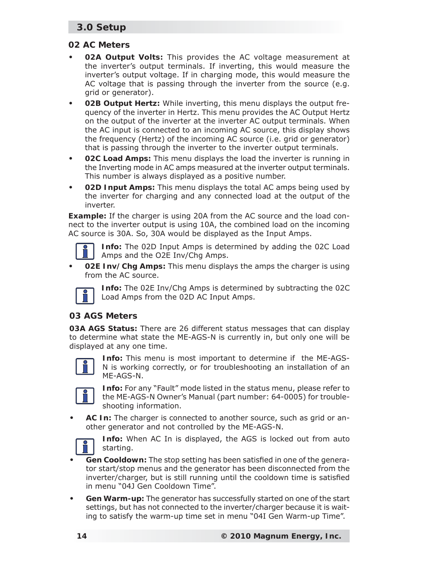#### **02 AC Meters**

- **02A Output Volts:** This provides the AC voltage measurement at the inverter's output terminals. If inverting, this would measure the inverter's output voltage. If in charging mode, this would measure the AC voltage that is passing through the inverter from the source (e.g. grid or generator). **•**
- **02B Output Hertz:** While inverting, this menu displays the output frequency of the inverter in Hertz. This menu provides the AC Output Hertz on the output of the inverter at the inverter AC output terminals. When the AC input is connected to an incoming AC source, this display shows the frequency (Hertz) of the incoming AC source (i.e. grid or generator) that is passing through the inverter to the inverter output terminals. **•**
- **02C Load Amps:** This menu displays the load the inverter is running in the Inverting mode in AC amps measured at the inverter output terminals. This number is always displayed as a positive number. **•**
- **02D Input Amps:** This menu displays the total AC amps being used by the inverter for charging and any connected load at the output of the inverter. **•**

**Example:** If the charger is using 20A from the AC source and the load connect to the inverter output is using 10A, the combined load on the incoming AC source is 30A. So, 30A would be displayed as the Input Amps.



**Info:** The 02D Input Amps is determined by adding the 02C Load Amps and the O2E Inv/Chg Amps.

**02E Inv/Chg Amps:** This menu displays the amps the charger is using from the AC source. **•**



**Info:** The 02E Inv/Chg Amps is determined by subtracting the 02C Load Amps from the 02D AC Input Amps.

#### **03 AGS Meters**

**03A AGS Status:** There are 26 different status messages that can display to determine what state the ME-AGS-N is currently in, but only one will be displayed at any one time.



**Info:** This menu is most important to determine if the ME-AGS-N is working correctly, or for troubleshooting an installation of an ME-AGS-N.



**Info:** For any "Fault" mode listed in the status menu, please refer to the ME-AGS-N Owner's Manual (part number: 64-0005) for troubleshooting information.

**AC In:** The charger is connected to another source, such as grid or another generator and not controlled by the ME-AGS-N. **•**



**Info:** When AC In is displayed, the AGS is locked out from auto starting.

- **Gen Cooldown:** The stop setting has been satisfied in one of the generator start/stop menus and the generator has been disconnected from the inverter/charger, but is still running until the cooldown time is satisfied in menu "04J Gen Cooldown Time". **•**
- **Gen Warm-up:** The generator has successfully started on one of the start settings, but has not connected to the inverter/charger because it is waiting to satisfy the warm-up time set in menu "04I Gen Warm-up Time". **•**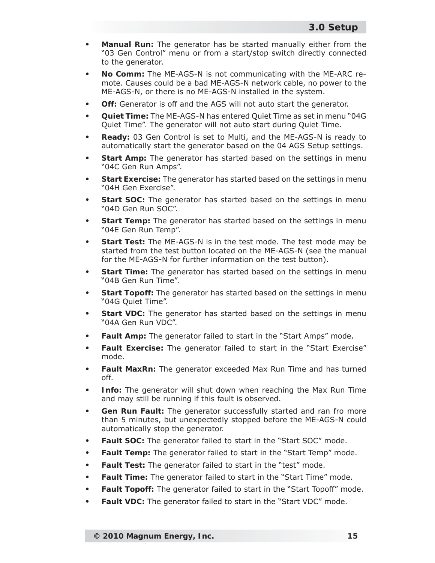- **Manual Run:** The generator has be started manually either from the "03 Gen Control" menu or from a start/stop switch directly connected to the generator. **•**
- **No Comm:** The ME-AGS-N is not communicating with the ME-ARC remote. Causes could be a bad ME-AGS-N network cable, no power to the ME-AGS-N, or there is no ME-AGS-N installed in the system. **•**
- **Off:** Generator is off and the AGS will not auto start the generator. **•**
- **Quiet Time:** The ME-AGS-N has entered Quiet Time as set in menu "04G Quiet Time". The generator will not auto start during Quiet Time. **•**
- **Ready:** 03 Gen Control is set to Multi, and the ME-AGS-N is ready to automatically start the generator based on the 04 AGS Setup settings. **•**
- **Start Amp:** The generator has started based on the settings in menu "04C Gen Run Amps". **•**
- **Start Exercise:** The generator has started based on the settings in menu "04H Gen Exercise". **•**
- **Start SOC:** The generator has started based on the settings in menu "04D Gen Run SOC". **•**
- **Start Temp:** The generator has started based on the settings in menu "04E Gen Run Temp". **•**
- **Start Test:** The ME-AGS-N is in the test mode. The test mode may be started from the test button located on the ME-AGS-N (see the manual for the ME-AGS-N for further information on the test button). **•**
- **Start Time:** The generator has started based on the settings in menu "04B Gen Run Time". **•**
- **Start Topoff:** The generator has started based on the settings in menu "04G Quiet Time". **•**
- **Start VDC:** The generator has started based on the settings in menu "04A Gen Run VDC". **•**
- **Fault Amp:** The generator failed to start in the "Start Amps" mode. **•**
- **Fault Exercise:** The generator failed to start in the "Start Exercise" mode. **•**
- **Fault MaxRn:** The generator exceeded Max Run Time and has turned off. **•**
- **Info:** The generator will shut down when reaching the Max Run Time and may still be running if this fault is observed. **•**
- **Gen Run Fault:** The generator successfully started and ran fro more than 5 minutes, but unexpectedly stopped before the ME-AGS-N could automatically stop the generator. **•**
- **Fault SOC:** The generator failed to start in the "Start SOC" mode. **•**
- **Fault Temp:** The generator failed to start in the "Start Temp" mode. **•**
- **Fault Test:** The generator failed to start in the "test" mode. **•**
- **Fault Time:** The generator failed to start in the "Start Time" mode. **•**
- **Fault Topoff:** The generator failed to start in the "Start Topoff" mode. **•**
- **Fault VDC:** The generator failed to start in the "Start VDC" mode. **•**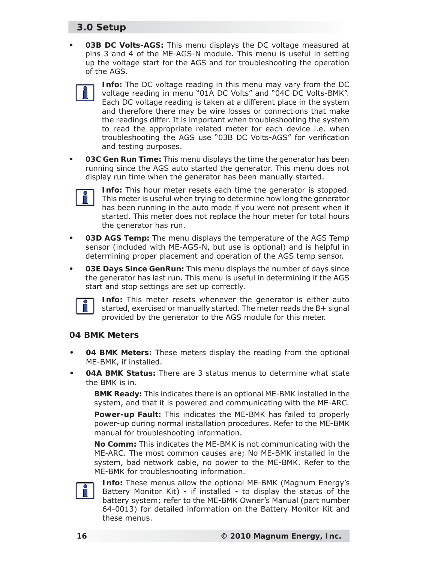- **03B DC Volts-AGS:** This menu displays the DC voltage measured at pins 3 and 4 of the ME-AGS-N module. This menu is useful in setting up the voltage start for the AGS and for troubleshooting the operation of the AGS. **•**
	- **Info:** The DC voltage reading in this menu may vary from the DC voltage reading in menu "01A DC Volts" and "04C DC Volts-BMK". Each DC voltage reading is taken at a different place in the system and therefore there may be wire losses or connections that make the readings differ. It is important when troubleshooting the system to read the appropriate related meter for each device i.e. when troubleshooting the AGS use "03B DC Volts-AGS" for verification and testing purposes.
- **03C Gen Run Time:** This menu displays the time the generator has been running since the AGS auto started the generator. This menu does not display run time when the generator has been manually started. **•**



**Info:** This hour meter resets each time the generator is stopped. This meter is useful when trying to determine how long the generator has been running in the auto mode if you were not present when it started. This meter does not replace the hour meter for total hours the generator has run.

- **03D AGS Temp:** The menu displays the temperature of the AGS Temp sensor (included with ME-AGS-N, but use is optional) and is helpful in determining proper placement and operation of the AGS temp sensor. **•**
- **03E Days Since GenRun:** This menu displays the number of days since the generator has last run. This menu is useful in determining if the AGS start and stop settings are set up correctly. **•**



**Info:** This meter resets whenever the generator is either auto started, exercised or manually started. The meter reads the B+ signal provided by the generator to the AGS module for this meter.

#### **04 BMK Meters**

- **04 BMK Meters:** These meters display the reading from the optional ME-BMK, if installed. **•**
- **04A BMK Status:** There are 3 status menus to determine what state the BMK is in. **•**

**BMK Ready:** This indicates there is an optional ME-BMK installed in the system, and that it is powered and communicating with the ME-ARC.

**Power-up Fault:** This indicates the ME-BMK has failed to properly power-up during normal installation procedures. Refer to the ME-BMK manual for troubleshooting information.

**No Comm:** This indicates the ME-BMK is not communicating with the ME-ARC. The most common causes are; No ME-BMK installed in the system, bad network cable, no power to the ME-BMK. Refer to the ME-BMK for troubleshooting information.



**Info:** These menus allow the optional ME-BMK (Magnum Energy's Battery Monitor Kit) - if installed - to display the status of the battery system; refer to the ME-BMK Owner's Manual (part number 64-0013) for detailed information on the Battery Monitor Kit and these menus.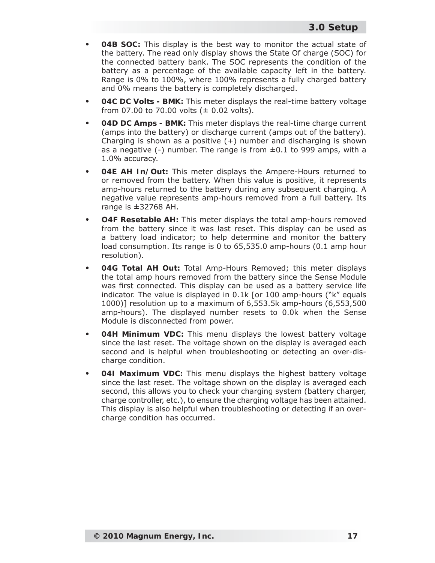- **04B SOC:** This display is the best way to monitor the actual state of the battery. The read only display shows the State Of charge (SOC) for the connected battery bank. The SOC represents the condition of the battery as a percentage of the available capacity left in the battery. Range is 0% to 100%, where 100% represents a fully charged battery and 0% means the battery is completely discharged. **•**
- **04C DC Volts BMK:** This meter displays the real-time battery voltage from 07.00 to 70.00 volts  $(± 0.02$  volts). **•**
- **04D DC Amps BMK:** This meter displays the real-time charge current (amps into the battery) or discharge current (amps out of the battery). Charging is shown as a positive  $(+)$  number and discharging is shown as a negative  $(-)$  number. The range is from  $\pm 0.1$  to 999 amps, with a 1.0% accuracy. **•**
- **04E AH In/Out:** This meter displays the Ampere-Hours returned to or removed from the battery. When this value is positive, it represents amp-hours returned to the battery during any subsequent charging. A negative value represents amp-hours removed from a full battery. Its range is ±32768 AH. **•**
- **O4F Resetable AH:** This meter displays the total amp-hours removed from the battery since it was last reset. This display can be used as a battery load indicator; to help determine and monitor the battery load consumption. Its range is 0 to 65,535.0 amp-hours (0.1 amp hour resolution). **•**
- **04G Total AH Out:** Total Amp-Hours Removed; this meter displays the total amp hours removed from the battery since the Sense Module was first connected. This display can be used as a battery service life indicator. The value is displayed in 0.1k [or 100 amp-hours ("k" equals 1000)] resolution up to a maximum of 6,553.5k amp-hours (6,553,500 amp-hours). The displayed number resets to 0.0k when the Sense Module is disconnected from power. **•**
- **04H Minimum VDC:** This menu displays the lowest battery voltage since the last reset. The voltage shown on the display is averaged each second and is helpful when troubleshooting or detecting an over-discharge condition. **•**
- **04I Maximum VDC:** This menu displays the highest battery voltage since the last reset. The voltage shown on the display is averaged each second, this allows you to check your charging system (battery charger, charge controller, etc.), to ensure the charging voltage has been attained. This display is also helpful when troubleshooting or detecting if an overcharge condition has occurred. **•**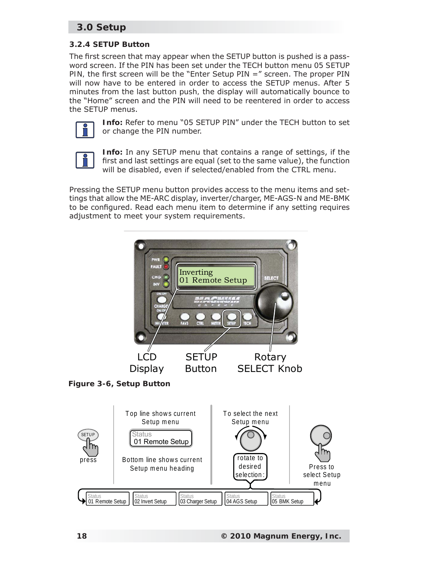#### **3.2.4 SETUP Button**

The first screen that may appear when the SETUP button is pushed is a password screen. If the PIN has been set under the TECH button menu *05 SETUP PIN*, the first screen will be the "Enter Setup PIN =" screen. The proper PIN will now have to be entered in order to access the SETUP menus. After 5 minutes from the *last button push,* the display will automatically bounce to the "Home" screen and the PIN will need to be reentered in order to access the SETUP menus.



**Info:** Refer to menu "05 SETUP PIN" under the TECH button to set or change the PIN number.



**Info:** In any SETUP menu that contains a range of settings, if the first and last settings are equal (set to the same value), the function will be disabled, even if selected/enabled from the CTRL menu.

Pressing the SETUP menu button provides access to the menu items and settings that allow the ME-ARC display, inverter/charger, ME-AGS-N and ME-BMK to be configured. Read each menu item to determine if any setting requires adjustment to meet your system requirements.



*Figure 3-6, Setup Button*

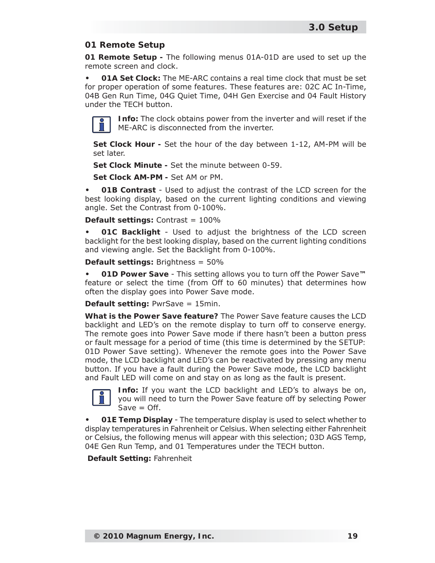### **01 Remote Setup**

**01 Remote Setup -** The following menus 01A-01D are used to set up the remote screen and clock.

**01A Set Clock:** The ME-ARC contains a real time clock that must be set for proper operation of some features. These features are: 02C AC In-Time, 04B Gen Run Time, 04G Quiet Time, 04H Gen Exercise and 04 Fault History under the TECH button. **•**



**Info:** The clock obtains power from the inverter and will reset if the ME-ARC is disconnected from the inverter.

**Set Clock Hour -** Set the hour of the day between 1-12, AM-PM will be set later.

**Set Clock Minute -** Set the minute between 0-59.

**Set Clock AM-PM -** Set AM or PM.

**01B Contrast** - Used to adjust the contrast of the LCD screen for the best looking display, based on the current lighting conditions and viewing angle. Set the Contrast from 0-100%. **•**

**Default settings:** Contrast = 100%

**01C Backlight** - Used to adjust the brightness of the LCD screen backlight for the best looking display, based on the current lighting conditions and viewing angle. Set the Backlight from 0-100%. **•**

**Default settings:** Brightness = 50%

**01D Power Save** - This setting allows you to turn off the Power Save**™** feature or select the time (from Off to 60 minutes) that determines how often the display goes into Power Save mode. **•**

**Default setting:** PwrSave = 15min.

**What is the Power Save feature?** The Power Save feature causes the LCD backlight and LED's on the remote display to turn off to conserve energy. The remote goes into Power Save mode if there hasn't been a button press or fault message for a period of time (this time is determined by the *SETUP: 01D Power Save* setting). Whenever the remote goes into the Power Save mode, the LCD backlight and LED's can be reactivated by pressing any menu button. If you have a fault during the Power Save mode, the LCD backlight and Fault LED will come on and stay on as long as the fault is present.



**Info:** If you want the LCD backlight and LED's to always be on, you will need to turn the Power Save feature off by selecting *Power Save = Off*.

**01E Temp Display** - The temperature display is used to select whether to display temperatures in Fahrenheit or Celsius. When selecting either Fahrenheit or Celsius, the following menus will appear with this selection; 03D AGS Temp, 04E Gen Run Temp, and 01 Temperatures under the TECH button. **•**

**Default Setting:** Fahrenheit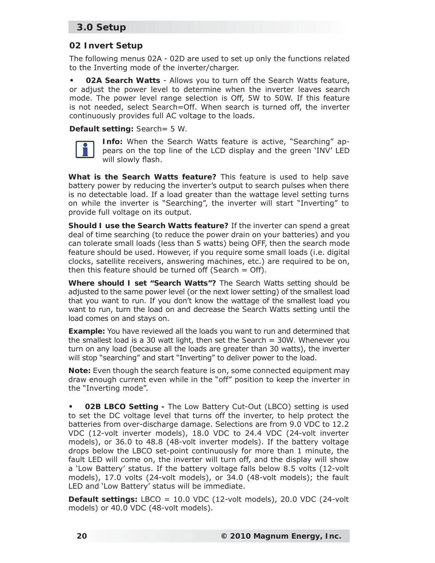### **02 Invert Setup**

The following menus 02A - 02D are used to set up only the functions related to the Inverting mode of the inverter/charger.

**02A Search Watts** - Allows you to turn off the Search Watts feature, or adjust the power level to determine when the inverter leaves search mode. The power level range selection is Off, 5W to 50W. If this feature is not needed, select *Search=Off*. When search is turned off, the inverter continuously provides full AC voltage to the loads. **•**

**Default setting:** *Search= 5 W.*



**Info:** When the Search Watts feature is active, "Searching" appears on the top line of the LCD display and the green 'INV' LED will slowly flash.

**What is the Search Watts feature?** This feature is used to help save battery power by reducing the inverter's output to search pulses when there is no detectable load. If a load greater than the wattage level setting turns on while the inverter is "Searching", the inverter will start "Inverting" to provide full voltage on its output.

**Should I use the Search Watts feature?** If the inverter can spend a great deal of time searching (to reduce the power drain on your batteries) and you can tolerate small loads (less than 5 watts) being OFF, then the search mode feature should be used. However, if you require some small loads (i.e. digital clocks, satellite receivers, answering machines, etc.) are required to be on, then this feature should be turned off (*Search = Off*).

**Where should I set "Search Watts"?** The Search Watts setting should be adjusted to the same power level (or the next lower setting) of the smallest load that you want to run. If you don't know the wattage of the smallest load you want to run, turn the load on and decrease the *Search Watts* setting until the load comes on and stays on.

**Example:** You have reviewed all the loads you want to run and determined that the smallest load is a 30 watt light, then set the *Search = 30W.* Whenever you turn on any load (because all the loads are greater than 30 watts), the inverter will stop "searching" and start "Inverting" to deliver power to the load.

**Note:** Even though the search feature is on, some connected equipment may draw enough current even while in the "off" position to keep the inverter in the "Inverting mode".

**02B LBCO Setting -** The Low Battery Cut-Out (LBCO) setting is used to set the DC voltage level that turns off the inverter, to help protect the batteries from over-discharge damage. Selections are from 9.0 VDC to 12.2 VDC (12-volt inverter models), 18.0 VDC to 24.4 VDC (24-volt inverter models), or 36.0 to 48.8 (48-volt inverter models). If the battery voltage drops below the LBCO set-point continuously for more than 1 minute, the fault LED will come on, the inverter will turn off, and the display will show a 'Low Battery' status. If the battery voltage falls below 8.5 volts (12-volt models), 17.0 volts (24-volt models), or 34.0 (48-volt models); the fault LED and 'Low Battery' status will be immediate. **•**

**Default settings:** LBCO = 10.0 VDC (12-volt models), 20.0 VDC (24-volt models) or 40.0 VDC (48-volt models).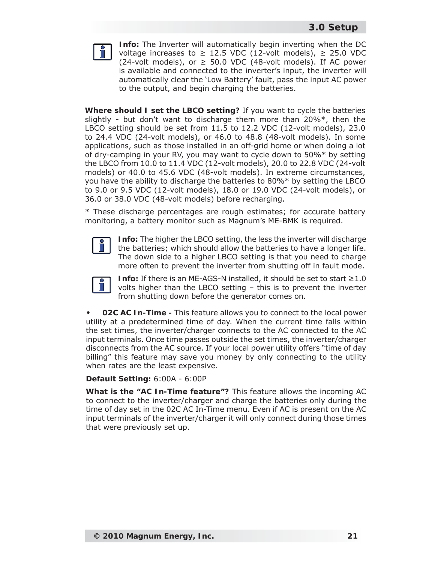

**Info:** The Inverter will automatically begin inverting when the DC voltage increases to  $\geq$  12.5 VDC (12-volt models),  $\geq$  25.0 VDC (24-volt models), or  $\geq$  50.0 VDC (48-volt models). If AC power is available and connected to the inverter's input, the inverter will automatically clear the 'Low Battery' fault, pass the input AC power to the output, and begin charging the batteries.

**Where should I set the LBCO setting?** If you want to cycle the batteries slightly - but don't want to discharge them more than  $20\%$ <sup>\*</sup>, then the LBCO setting should be set from 11.5 to 12.2 VDC (12-volt models), 23.0 to 24.4 VDC (24-volt models), or 46.0 to 48.8 (48-volt models). In some applications, such as those installed in an off-grid home or when doing a lot of dry-camping in your RV, you may want to cycle down to 50%\* by setting the LBCO from 10.0 to 11.4 VDC (12-volt models), 20.0 to 22.8 VDC (24-volt models) or 40.0 to 45.6 VDC (48-volt models). In extreme circumstances, you have the ability to discharge the batteries to 80%\* by setting the LBCO to 9.0 or 9.5 VDC (12-volt models), 18.0 or 19.0 VDC (24-volt models), or 36.0 or 38.0 VDC (48-volt models) before recharging.

\* These discharge percentages are rough estimates; for accurate battery monitoring, a battery monitor such as Magnum's ME-BMK is required.



**Info:** The higher the LBCO setting, the less the inverter will discharge the batteries; which should allow the batteries to have a longer life. The down side to a higher LBCO setting is that you need to charge more often to prevent the inverter from shutting off in fault mode.



**Info:** If there is an ME-AGS-N installed, it should be set to start ≥1.0 volts higher than the LBCO setting – this is to prevent the inverter from shutting down before the generator comes on.

**02C AC In-Time -** This feature allows you to connect to the local power utility at a predetermined time of day. When the current time falls within the set times, the inverter/charger connects to the AC connected to the AC input terminals. Once time passes outside the set times, the inverter/charger disconnects from the AC source. If your local power utility offers "time of day billing" this feature may save you money by only connecting to the utility when rates are the least expensive. **•**

**Default Setting:** 6:00A - 6:00P

**What is the "AC In-Time feature"?** This feature allows the incoming AC to connect to the inverter/charger and charge the batteries only during the time of day set in the 02C AC In-Time menu. Even if AC is present on the AC input terminals of the inverter/charger it will only connect during those times that were previously set up.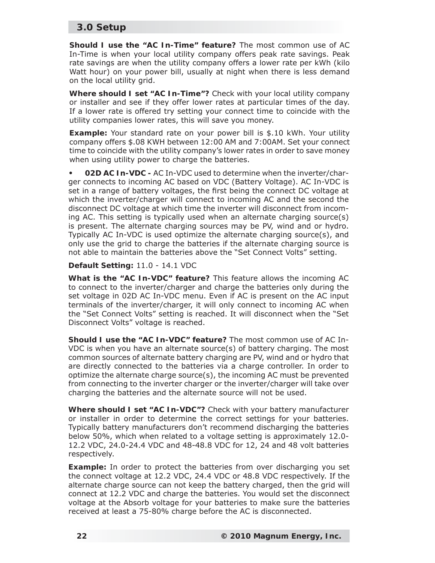**Should I use the "AC In-Time" feature?** The most common use of AC In-Time is when your local utility company offers peak rate savings. Peak rate savings are when the utility company offers a lower rate per kWh (kilo Watt hour) on your power bill, usually at night when there is less demand on the local utility grid.

**Where should I set "AC In-Time"?** Check with your local utility company or installer and see if they offer lower rates at particular times of the day. If a lower rate is offered try setting your connect time to coincide with the utility companies lower rates, this will save you money.

**Example:** Your standard rate on your power bill is \$.10 kWh. Your utility company offers \$.08 KWH between 12:00 AM and 7:00AM. Set your connect time to coincide with the utility company's lower rates in order to save money when using utility power to charge the batteries.

**02D AC In-VDC -** AC In-VDC used to determine when the inverter/charger connects to incoming AC based on VDC (Battery Voltage). AC In-VDC is set in a range of battery voltages, the first being the connect DC voltage at which the inverter/charger will connect to incoming AC and the second the disconnect DC voltage at which time the inverter will disconnect from incoming AC. This setting is typically used when an alternate charging source(s) is present. The alternate charging sources may be PV, wind and or hydro. Typically AC In-VDC is used optimize the alternate charging source(s), and only use the grid to charge the batteries if the alternate charging source is not able to maintain the batteries above the "Set Connect Volts" setting. **•**

#### **Default Setting:** 11.0 - 14.1 VDC

**What is the "AC In-VDC" feature?** This feature allows the incoming AC to connect to the inverter/charger and charge the batteries only during the set voltage in 02D AC In-VDC menu. Even if AC is present on the AC input terminals of the inverter/charger, it will only connect to incoming AC when the "Set Connect Volts" setting is reached. It will disconnect when the "Set Disconnect Volts" voltage is reached.

**Should I use the "AC In-VDC" feature?** The most common use of AC In-VDC is when you have an alternate source(s) of battery charging. The most common sources of alternate battery charging are PV, wind and or hydro that are directly connected to the batteries via a charge controller. In order to optimize the alternate charge source(s), the incoming AC must be prevented from connecting to the inverter charger or the inverter/charger will take over charging the batteries and the alternate source will not be used.

**Where should I set "AC In-VDC"?** Check with your battery manufacturer or installer in order to determine the correct settings for your batteries. Typically battery manufacturers don't recommend discharging the batteries below 50%, which when related to a voltage setting is approximately 12.0- 12.2 VDC, 24.0-24.4 VDC and 48-48.8 VDC for 12, 24 and 48 volt batteries respectively.

**Example:** In order to protect the batteries from over discharging you set the connect voltage at 12.2 VDC, 24.4 VDC or 48.8 VDC respectively. If the alternate charge source can not keep the battery charged, then the grid will connect at 12.2 VDC and charge the batteries. You would set the disconnect voltage at the Absorb voltage for your batteries to make sure the batteries received at least a 75-80% charge before the AC is disconnected.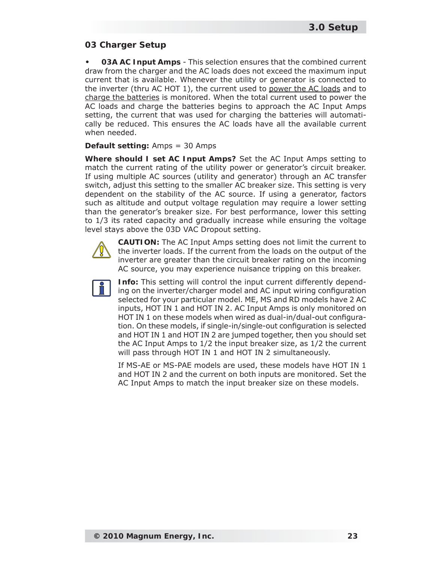#### **03 Charger Setup**

**03A AC Input Amps** - This selection ensures that the combined current draw from the charger and the AC loads does not exceed the maximum input current that is available. Whenever the utility or generator is connected to the inverter (thru AC HOT 1), the current used to power the AC loads and to charge the batteries is monitored. When the total current used to power the AC loads and charge the batteries begins to approach the AC Input Amps setting, the current that was used for charging the batteries will automatically be reduced. This ensures the AC loads have all the available current when needed. **•**

#### **Default setting:** Amps = 30 Amps

**Where should I set AC Input Amps?** Set the AC Input Amps setting to match the current rating of the utility power or generator's circuit breaker. If using multiple AC sources (utility and generator) through an AC transfer switch, adjust this setting to the smaller AC breaker size. This setting is very dependent on the stability of the AC source. If using a generator, factors such as altitude and output voltage regulation may require a lower setting than the generator's breaker size. For best performance, lower this setting to 1/3 its rated capacity and gradually increase while ensuring the voltage level stays above the 03D VAC Dropout setting.



**CAUTION:** The AC Input Amps setting does not limit the current to the inverter loads. If the current from the loads on the output of the inverter are greater than the circuit breaker rating on the incoming AC source, you may experience nuisance tripping on this breaker.



**Info:** This setting will control the input current differently depending on the inverter/charger model and AC input wiring configuration selected for your particular model. ME, MS and RD models have 2 AC inputs, HOT IN 1 and HOT IN 2. AC Input Amps is only monitored on HOT IN 1 on these models when wired as dual-in/dual-out configuration. On these models, if single-in/single-out configuration is selected and HOT IN 1 and HOT IN 2 are jumped together, then you should set the AC Input Amps to 1/2 the input breaker size, as 1/2 the current will pass through HOT IN 1 and HOT IN 2 simultaneously.

If MS-AE or MS-PAE models are used, these models have HOT IN 1 and HOT IN 2 and the current on *both* inputs are monitored. Set the AC Input Amps to match the input breaker size on these models.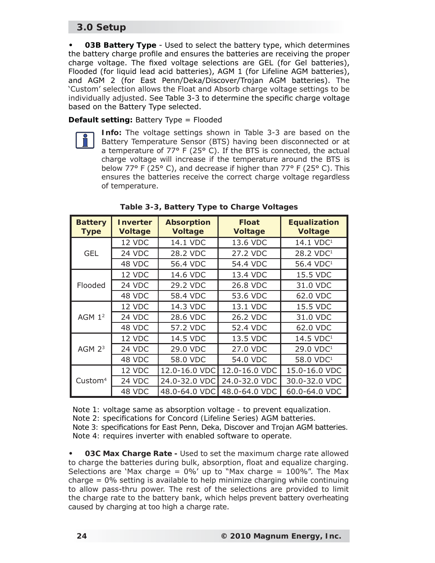**03B Battery Type** - Used to select the battery type, which determines the battery charge profile and ensures the batteries are receiving the proper charge voltage. The fixed voltage selections are GEL (for Gel batteries), Flooded (for liquid lead acid batteries), AGM 1 (for Lifeline AGM batteries), and AGM 2 (for East Penn/Deka/Discover/Trojan AGM batteries). The 'Custom' selection allows the Float and Absorb charge voltage settings to be individually adjusted. See Table 3-3 to determine the specific charge voltage based on the Battery Type selected. **•**

**Default setting:** Battery Type = Flooded

**Info:** The voltage settings shown in Table 3-3 are based on the Battery Temperature Sensor (BTS) having been disconnected or at a temperature of 77° F (25° C). If the BTS is connected, the actual charge voltage will increase if the temperature around the BTS is below 77° F (25° C), and decrease if higher than 77° F (25° C). This ensures the batteries receive the correct charge voltage regardless of temperature.

| <b>Battery</b><br><b>Type</b> | <b>Inverter</b><br><b>Voltage</b> | <b>Absorption</b><br><b>Voltage</b> | <b>Float</b><br><b>Voltage</b> | <b>Equalization</b><br><b>Voltage</b> |
|-------------------------------|-----------------------------------|-------------------------------------|--------------------------------|---------------------------------------|
|                               | 12 VDC                            | 14.1 VDC                            | 13.6 VDC                       | 14.1 VDC <sup>1</sup>                 |
| <b>GEL</b>                    | 24 VDC                            | 28.2 VDC                            | 27.2 VDC                       | 28.2 VDC <sup>1</sup>                 |
|                               | 48 VDC                            | 56.4 VDC                            | 54.4 VDC                       | 56.4 VDC <sup>1</sup>                 |
|                               | 12 VDC                            | 14.6 VDC                            | 13.4 VDC                       | 15.5 VDC                              |
| Flooded                       | 24 VDC                            | 29.2 VDC                            | 26.8 VDC                       | 31.0 VDC                              |
|                               | 48 VDC                            | 58.4 VDC                            | 53.6 VDC                       | 62.0 VDC                              |
|                               | 12 VDC                            | 14.3 VDC                            | 13.1 VDC                       | 15.5 VDC                              |
| $AGM$ 1 <sup>2</sup>          | 24 VDC                            | 28.6 VDC                            | 26.2 VDC                       | 31.0 VDC                              |
|                               | 48 VDC                            | 57.2 VDC                            | 52.4 VDC                       | 62.0 VDC                              |
|                               | 12 VDC                            | 14.5 VDC                            | 13.5 VDC                       | 14.5 VDC <sup>1</sup>                 |
| $AGM$ $23$                    | 24 VDC                            | 29.0 VDC                            | 27.0 VDC                       | 29.0 VDC <sup>1</sup>                 |
|                               | 48 VDC                            | 58.0 VDC                            | 54.0 VDC                       | 58.0 VDC <sup>1</sup>                 |
|                               | 12 VDC                            | 12.0-16.0 VDC                       | 12.0-16.0 VDC                  | 15.0-16.0 VDC                         |
| Custom <sup>4</sup>           | 24 VDC                            | 24.0-32.0 VDC                       | 24.0-32.0 VDC                  | 30.0-32.0 VDC                         |
|                               | 48 VDC                            | 48.0-64.0 VDC                       | 48.0-64.0 VDC                  | 60.0-64.0 VDC                         |

**Table 3-3, Battery Type to Charge Voltages**

*Note 1: voltage same as absorption voltage - to prevent equalization. Note 2: specifi cations for Concord (Lifeline Series) AGM batteries. Note 3: specifi cations for East Penn, Deka, Discover and Trojan AGM batteries. Note 4: requires inverter with enabled software to operate.*

**03C Max Charge Rate -** Used to set the maximum charge rate allowed to charge the batteries during bulk, absorption, float and equalize charging. Selections are 'Max charge =  $0\%$ ' up to "Max charge =  $100\%$ ". The Max charge = 0% setting is available to help minimize charging while continuing to allow pass-thru power. The rest of the selections are provided to limit the charge rate to the battery bank, which helps prevent battery overheating caused by charging at too high a charge rate. **•**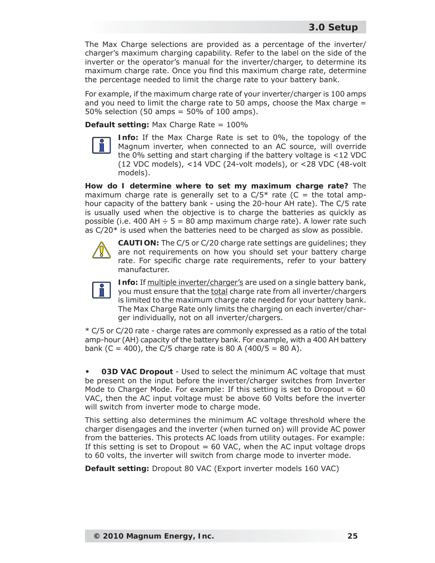The Max Charge selections are provided as a percentage of the inverter/ charger's maximum charging capability. Refer to the label on the side of the inverter or the operator's manual for the inverter/charger, to determine its maximum charge rate. Once you find this maximum charge rate, determine the percentage needed to limit the charge rate to your battery bank.

For example, if the maximum charge rate of your inverter/charger is 100 amps and you need to limit the charge rate to 50 amps, choose the Max charge  $=$  $50\%$  selection (50 amps =  $50\%$  of 100 amps).

**Default setting:** Max Charge Rate = 100%



**Info:** If the Max Charge Rate is set to 0%, the topology of the Magnum inverter, when connected to an AC source, will override the 0% setting and start charging if the battery voltage is <12 VDC (12 VDC models), <14 VDC (24-volt models), or <28 VDC (48-volt models).

**How do I determine where to set my maximum charge rate?** The maximum charge rate is generally set to a  $C/5*$  rate (C = the total amphour capacity of the battery bank - using the 20-hour AH rate). The C/5 rate is usually used when the objective is to charge the batteries as quickly as possible (i.e. 400 AH  $\div$  5 = 80 amp maximum charge rate). A lower rate such as C/20\* is used when the batteries need to be charged as slow as possible.



**CAUTION:** The C/5 or C/20 charge rate settings are guidelines; they are not requirements on how you should set your battery charge rate. For specific charge rate requirements, refer to your battery manufacturer.



**Info:** If multiple inverter/charger's are used on a single battery bank, you must ensure that the total charge rate from all inverter/chargers is limited to the maximum charge rate needed for your battery bank. The Max Charge Rate only limits the charging on each inverter/charger individually, not on all inverter/chargers.

\* C/5 or C/20 rate - charge rates are commonly expressed as a ratio of the total amp-hour (AH) capacity of the battery bank. For example, with a 400 AH battery bank (C = 400), the C/5 charge rate is 80 A (400/5 = 80 A).

**03D VAC Dropout** - Used to select the minimum AC voltage that must be present on the input before the inverter/charger switches from Inverter Mode to Charger Mode. For example: If this setting is set to *Dropout = 60 VAC*, then the AC input voltage must be above 60 Volts before the inverter will switch from inverter mode to charge mode. **•**

This setting also determines the minimum AC voltage threshold where the charger disengages and the inverter (when turned on) will provide AC power from the batteries. This protects AC loads from utility outages. For example: If this setting is set to *Dropout = 60 VAC*, when the AC input voltage drops to 60 volts, the inverter will switch from charge mode to inverter mode.

**Default setting:** Dropout 80 VAC (Export inverter models 160 VAC)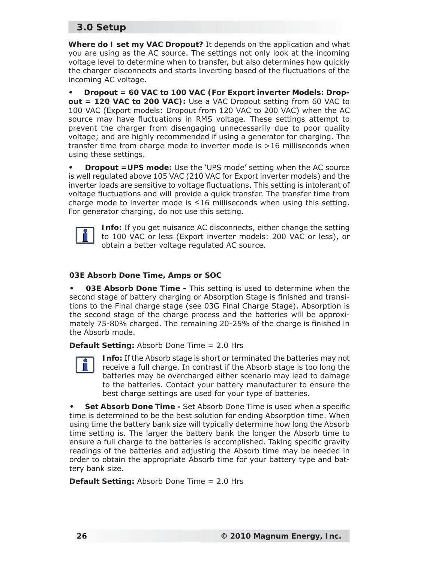**Where do I set my VAC Dropout?** It depends on the application and what you are using as the AC source. The settings not only look at the incoming voltage level to determine when to transfer, but also determines how quickly the charger disconnects and starts Inverting based of the fluctuations of the incoming AC voltage.

**Dropout = 60 VAC to 100 VAC (For Export inverter Models: Dropout = 120 VAC to 200 VAC):** Use a VAC Dropout setting from 60 VAC to 100 VAC (Export models: Dropout from 120 VAC to 200 VAC) when the AC source may have fluctuations in RMS voltage. These settings attempt to prevent the charger from disengaging unnecessarily due to poor quality voltage; and are highly recommended if using a generator for charging. The transfer time from charge mode to inverter mode is >16 milliseconds when using these settings. **•**

**Dropout =UPS mode:** Use the 'UPS mode' setting when the AC source is well regulated above 105 VAC (210 VAC for Export inverter models) and the inverter loads are sensitive to voltage fluctuations. This setting is intolerant of voltage fluctuations and will provide a quick transfer. The transfer time from charge mode to inverter mode is  $\leq$ 16 milliseconds when using this setting. For generator charging, do not use this setting. **•**



**Info:** If you get nuisance AC disconnects, either change the setting to 100 VAC or less (Export inverter models: 200 VAC or less), or obtain a better voltage regulated AC source.

#### **03E Absorb Done Time, Amps or SOC**

**03E Absorb Done Time -** This setting is used to determine when the second stage of battery charging or Absorption Stage is finished and transitions to the Final charge stage (see 03G Final Charge Stage). Absorption is the second stage of the charge process and the batteries will be approximately 75-80% charged. The remaining 20-25% of the charge is finished in the Absorb mode. **•**

**Default Setting:** Absorb Done Time = 2.0 Hrs

**Info:** If the Absorb stage is short or terminated the batteries may not receive a full charge. In contrast if the Absorb stage is too long the batteries may be overcharged either scenario may lead to damage to the batteries. Contact your battery manufacturer to ensure the best charge settings are used for your type of batteries.

Set Absorb Done Time - Set Absorb Done Time is used when a specific time is determined to be the best solution for ending Absorption time. When using time the battery bank size will typically determine how long the Absorb time setting is. The larger the battery bank the longer the Absorb time to ensure a full charge to the batteries is accomplished. Taking specific gravity readings of the batteries and adjusting the Absorb time may be needed in order to obtain the appropriate Absorb time for your battery type and battery bank size. **•**

**Default Setting:** Absorb Done Time = 2.0 Hrs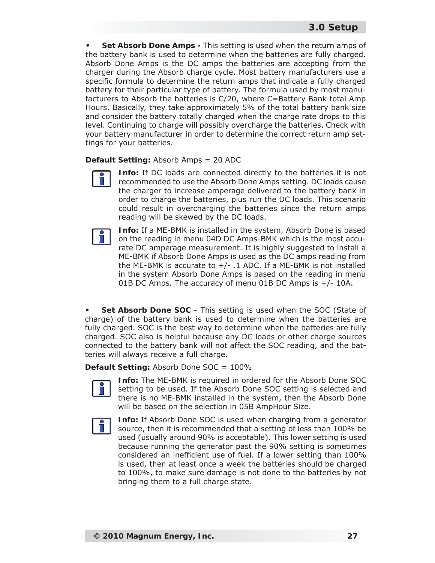**Set Absorb Done Amps -** This setting is used when the return amps of the battery bank is used to determine when the batteries are fully charged. Absorb Done Amps is the DC amps the batteries are accepting from the charger during the Absorb charge cycle. Most battery manufacturers use a specific formula to determine the return amps that indicate a fully charged battery for their particular type of battery. The formula used by most manufacturers to Absorb the batteries is C/20, where C=Battery Bank total Amp Hours. Basically, they take approximately 5% of the total battery bank size and consider the battery totally charged when the charge rate drops to this level. Continuing to charge will possibly overcharge the batteries. Check with your battery manufacturer in order to determine the correct return amp settings for your batteries. **•**

#### **Default Setting:** Absorb Amps = 20 ADC



**Info:** If DC loads are connected directly to the batteries it is not recommended to use the Absorb Done Amps setting. DC loads cause the charger to increase amperage delivered to the battery bank in order to charge the batteries, plus run the DC loads. This scenario could result in overcharging the batteries since the return amps reading will be skewed by the DC loads.



**Info:** If a ME-BMK is installed in the system, Absorb Done is based on the reading in menu 04D DC Amps-BMK which is the most accurate DC amperage measurement. It is highly suggested to install a ME-BMK if Absorb Done Amps is used as the DC amps reading from the ME-BMK is accurate to  $+/-$  .1 ADC. If a ME-BMK is not installed in the system Absorb Done Amps is based on the reading in menu 01B DC Amps. The accuracy of menu 01B DC Amps is +/- 10A.

**Set Absorb Done SOC -** This setting is used when the SOC (State of charge) of the battery bank is used to determine when the batteries are fully charged. SOC is the best way to determine when the batteries are fully charged. SOC also is helpful because any DC loads or other charge sources connected to the battery bank will not affect the SOC reading, and the batteries will always receive a full charge. **•**

**Default Setting:** Absorb Done SOC = 100%



**Info:** The ME-BMK is required in ordered for the Absorb Done SOC setting to be used. If the Absorb Done SOC setting is selected and there is no ME-BMK installed in the system, then the Absorb Done will be based on the selection in 05B AmpHour Size.



**Info:** If Absorb Done SOC is used when charging from a generator source, then it is recommended that a setting of less than 100% be used (usually around 90% is acceptable). This lower setting is used because running the generator past the 90% setting is sometimes considered an inefficient use of fuel. If a lower setting than 100% is used, then at least once a week the batteries should be charged to 100%, to make sure damage is not done to the batteries by not bringing them to a full charge state.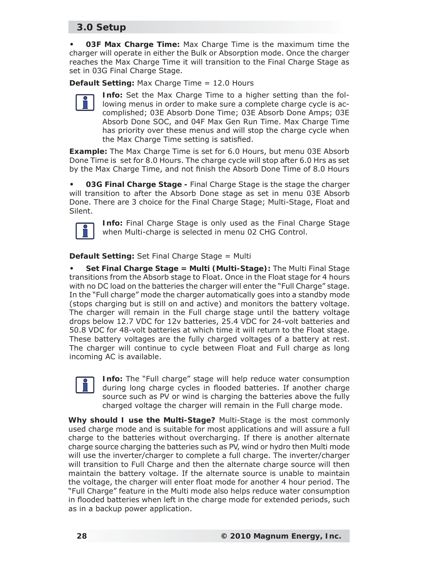**03F Max Charge Time:** Max Charge Time is the maximum time the charger will operate in either the Bulk or Absorption mode. Once the charger reaches the Max Charge Time it will transition to the Final Charge Stage as set in 03G Final Charge Stage. **•**

**Default Setting:** Max Charge Time = 12.0 Hours



**Info:** Set the Max Charge Time to a higher setting than the following menus in order to make sure a complete charge cycle is accomplished; 03E Absorb Done Time; 03E Absorb Done Amps; 03E Absorb Done SOC, and 04F Max Gen Run Time. Max Charge Time has priority over these menus and will stop the charge cycle when the Max Charge Time setting is satisfied.

**Example:** The Max Charge Time is set for 6.0 Hours, but menu 03E Absorb Done Time is set for 8.0 Hours. The charge cycle will stop after 6.0 Hrs as set by the Max Charge Time, and not finish the Absorb Done Time of 8.0 Hours

**03G Final Charge Stage -** Final Charge Stage is the stage the charger will transition to after the Absorb Done stage as set in menu 03E Absorb Done. There are 3 choice for the Final Charge Stage; Multi-Stage, Float and Silent. **•**



**Info:** Final Charge Stage is only used as the Final Charge Stage when Multi-charge is selected in menu 02 CHG Control.

**Default Setting:** Set Final Charge Stage = Multi

**Set Final Charge Stage = Multi (Multi-Stage):** The Multi Final Stage transitions from the Absorb stage to Float. Once in the Float stage for 4 hours with no DC load on the batteries the charger will enter the "Full Charge" stage. In the "Full charge" mode the charger automatically goes into a standby mode (stops charging but is still on and active) and monitors the battery voltage. The charger will remain in the Full charge stage until the battery voltage drops below 12.7 VDC for 12v batteries, 25.4 VDC for 24-volt batteries and 50.8 VDC for 48-volt batteries at which time it will return to the Float stage. These battery voltages are the fully charged voltages of a battery at rest. The charger will continue to cycle between Float and Full charge as long incoming AC is available. **•**

**Info:** The "Full charge" stage will help reduce water consumption during long charge cycles in flooded batteries. If another charge source such as PV or wind is charging the batteries above the fully charged voltage the charger will remain in the Full charge mode.

**Why should I use the Multi-Stage?** Multi-Stage is the most commonly used charge mode and is suitable for most applications and will assure a full charge to the batteries without overcharging. If there is another alternate charge source charging the batteries such as PV, wind or hydro then Multi mode will use the inverter/charger to complete a full charge. The inverter/charger will transition to Full Charge and then the alternate charge source will then maintain the battery voltage. If the alternate source is unable to maintain the voltage, the charger will enter float mode for another 4 hour period. The "Full Charge" feature in the Multi mode also helps reduce water consumption in flooded batteries when left in the charge mode for extended periods, such as in a backup power application.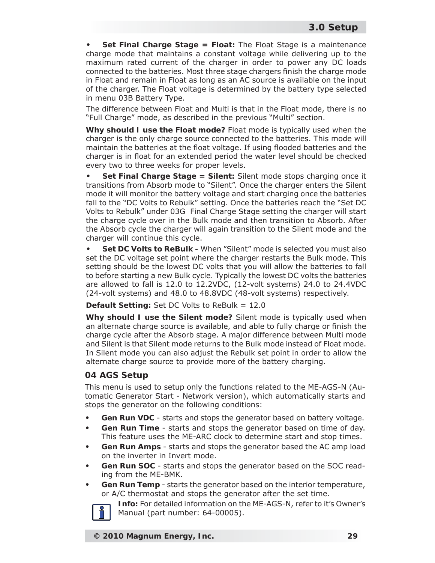**Set Final Charge Stage = Float:** The Float Stage is a maintenance charge mode that maintains a constant voltage while delivering up to the maximum rated current of the charger in order to power any DC loads connected to the batteries. Most three stage chargers finish the charge mode in Float and remain in Float as long as an AC source is available on the input of the charger. The Float voltage is determined by the battery type selected in menu 03B Battery Type. **•**

The difference between Float and Multi is that in the Float mode, there is no "Full Charge" mode, as described in the previous "Multi" section.

**Why should I use the Float mode?** Float mode is typically used when the charger is the only charge source connected to the batteries. This mode will maintain the batteries at the float voltage. If using flooded batteries and the charger is in float for an extended period the water level should be checked every two to three weeks for proper levels.

**Set Final Charge Stage = Silent:** Silent mode stops charging once it transitions from Absorb mode to "Silent". Once the charger enters the Silent mode it will monitor the battery voltage and start charging once the batteries fall to the "DC Volts to Rebulk" setting. Once the batteries reach the "Set DC Volts to Rebulk" under 03G Final Charge Stage setting the charger will start the charge cycle over in the Bulk mode and then transition to Absorb. After the Absorb cycle the charger will again transition to the Silent mode and the charger will continue this cycle. **•**

**Set DC Volts to ReBulk -** When "Silent" mode is selected you must also set the DC voltage set point where the charger restarts the Bulk mode. This setting should be the lowest DC volts that you will allow the batteries to fall to before starting a new Bulk cycle. Typically the lowest DC volts the batteries are allowed to fall is 12.0 to 12.2VDC, (12-volt systems) 24.0 to 24.4VDC (24-volt systems) and 48.0 to 48.8VDC (48-volt systems) respectively. **•**

**Default Setting:** Set DC Volts to ReBulk = 12.0

**Why should I use the Silent mode?** Silent mode is typically used when an alternate charge source is available, and able to fully charge or finish the charge cycle after the Absorb stage. A major difference between Multi mode and Silent is that Silent mode returns to the Bulk mode instead of Float mode. In Silent mode you can also adjust the Rebulk set point in order to allow the alternate charge source to provide more of the battery charging.

#### **04 AGS Setup**

This menu is used to setup only the functions related to the ME-AGS-N (Automatic Generator Start - Network version), which automatically starts and stops the generator on the following conditions:

- **Gen Run VDC** starts and stops the generator based on battery voltage. **•**
- **Gen Run Time**  starts and stops the generator based on time of day. This feature uses the ME-ARC clock to determine start and stop times. **•**
- **Gen Run Amps**  starts and stops the generator based the AC amp load on the inverter in Invert mode. **•**
- **Gen Run SOC**  starts and stops the generator based on the SOC reading from the ME-BMK. **•**
- **Gen Run Temp** starts the generator based on the interior temperature, or A/C thermostat and stops the generator after the set time. **•**



**Info:** For detailed information on the ME-AGS-N, refer to it's Owner's Manual (part number: 64-00005).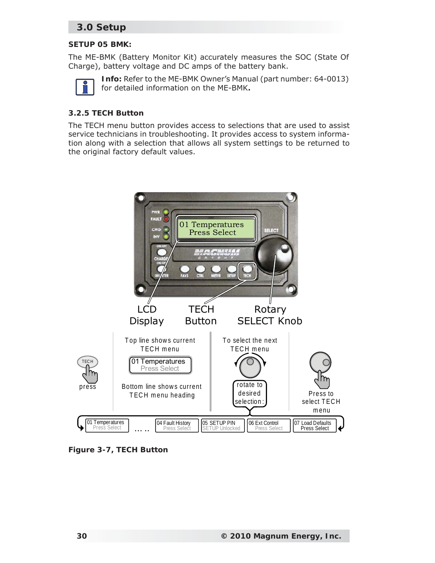#### **SETUP 05 BMK:**

The ME-BMK (Battery Monitor Kit) accurately measures the SOC (State Of Charge), battery voltage and DC amps of the battery bank.



**Info:** Refer to the ME-BMK Owner's Manual (part number: 64-0013) for detailed information on the ME-BMK**.**

#### **3.2.5 TECH Button**

The TECH menu button provides access to selections that are used to assist service technicians in troubleshooting. It provides access to system information along with a selection that allows all system settings to be returned to the original factory default values.



*Figure 3-7, TECH Button*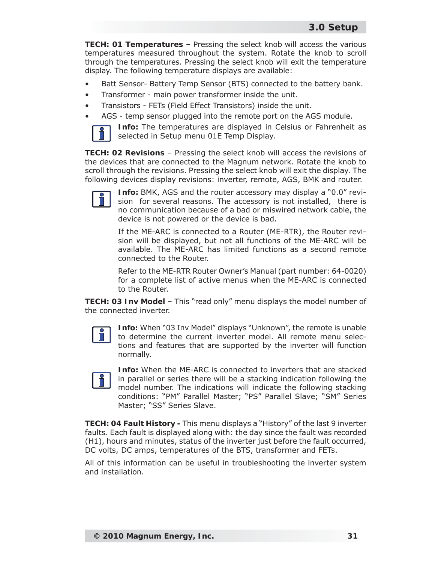**TECH: 01 Temperatures** – Pressing the select knob will access the various temperatures measured throughout the system. Rotate the knob to scroll through the temperatures. Pressing the select knob will exit the temperature display. The following temperature displays are available:

- Batt Sensor- Battery Temp Sensor (BTS) connected to the battery bank. •
- Transformer main power transformer inside the unit. •
- Transistors FETs (Field Effect Transistors) inside the unit. •
- AGS temp sensor plugged into the remote port on the AGS module. •



**Info:** The temperatures are displayed in Celsius or Fahrenheit as selected in Setup menu 01E Temp Display.

**TECH: 02 Revisions** – Pressing the select knob will access the revisions of the devices that are connected to the Magnum network. Rotate the knob to scroll through the revisions. Pressing the select knob will exit the display. The following devices display revisions: inverter, remote, AGS, BMK and router.



**Info:** BMK, AGS and the router accessory may display a "0.0" revision for several reasons. The accessory is not installed, there is no communication because of a bad or miswired network cable, the device is not powered or the device is bad.

If the ME-ARC is connected to a Router (ME-RTR), the Router revision will be displayed, but not all functions of the ME-ARC will be available. The ME-ARC has limited functions as a second remote connected to the Router.

Refer to the ME-RTR Router Owner's Manual (part number: 64-0020) for a complete list of active menus when the ME-ARC is connected to the Router.

**TECH: 03 Inv Model** – This "read only" menu displays the model number of the connected inverter.



**Info:** When "03 Inv Model" displays "Unknown", the remote is unable to determine the current inverter model. All remote menu selections and features that are supported by the inverter will function normally.



**Info:** When the ME-ARC is connected to inverters that are stacked in parallel or series there will be a stacking indication following the model number. The indications will indicate the following stacking conditions: "PM" Parallel Master; "PS" Parallel Slave; "SM" Series Master; "SS" Series Slave.

**TECH: 04 Fault History -** This menu displays a "History" of the last 9 inverter faults. Each fault is displayed along with: the day since the fault was recorded (H1), hours and minutes, status of the inverter just before the fault occurred, DC volts, DC amps, temperatures of the BTS, transformer and FETs.

All of this information can be useful in troubleshooting the inverter system and installation.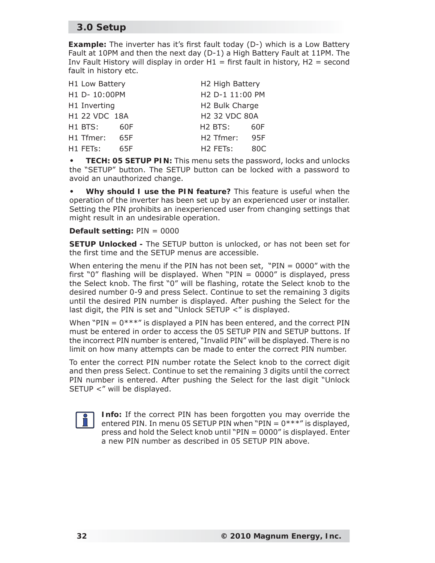**Example:** The inverter has it's first fault today (D-) which is a Low Battery Fault at 10PM and then the next day (D-1) a High Battery Fault at 11PM. The Inv Fault History will display in order  $H1 =$  first fault in history,  $H2 =$  second fault in history etc.

| H1 Low Battery |     | H2 High Battery                   |     |
|----------------|-----|-----------------------------------|-----|
| H1 D- 10:00PM  |     | H2 D-1 11:00 PM                   |     |
| H1 Inverting   |     | H <sub>2</sub> Bulk Charge        |     |
| H1 22 VDC 18A  |     | <b>H2 32 VDC 80A</b>              |     |
| H1 BTS:        | 60F | H <sub>2</sub> BTS:               | 60F |
| H1 Tfmer:      | 65F | H <sub>2</sub> Tfmer:             | 95F |
| H1 FETs:       | 65F | H <sub>2</sub> FET <sub>s</sub> : | 80C |

**TECH: 05 SETUP PIN:** This menu sets the password, locks and unlocks the "SETUP" button. The SETUP button can be locked with a password to avoid an unauthorized change. **•**

**Why should I use the PIN feature?** This feature is useful when the operation of the inverter has been set up by an experienced user or installer. Setting the PIN prohibits an inexperienced user from changing settings that might result in an undesirable operation. **•**

#### **Default setting:** PIN = 0000

**SETUP Unlocked -** The SETUP button is unlocked, or has not been set for the first time and the SETUP menus are accessible.

When entering the menu if the PIN has not been set, "PIN =  $0000''$  with the first "0" flashing will be displayed. When " $PIN = 0000$ " is displayed, press the Select knob. The first "0" will be flashing, rotate the Select knob to the desired number 0-9 and press Select. Continue to set the remaining 3 digits until the desired PIN number is displayed. After pushing the Select for the last digit, the PIN is set and "Unlock SETUP <" is displayed.

When "PIN  $= 0$ \*\*\*" is displayed a PIN has been entered, and the correct PIN must be entered in order to access the 05 SETUP PIN and SETUP buttons. If the incorrect PIN number is entered, "Invalid PIN" will be displayed. There is no limit on how many attempts can be made to enter the correct PIN number.

To enter the correct PIN number rotate the Select knob to the correct digit and then press Select. Continue to set the remaining 3 digits until the correct PIN number is entered. After pushing the Select for the last digit "Unlock SETUP <" will be displayed.



**Info:** If the correct PIN has been forgotten you may override the entered PIN. In menu 05 SETUP PIN when "PIN =  $0***$ " is displayed, press and hold the Select knob until "PIN = 0000" is displayed. Enter a new PIN number as described in 05 SETUP PIN above.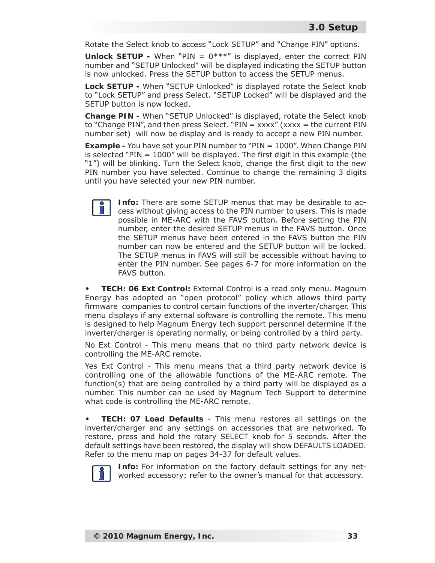Rotate the Select knob to access "Lock SETUP" and "Change PIN" options.

**Unlock SETUP -** When "PIN = 0\*\*\*" is displayed, enter the correct PIN number and "SETUP *Unlocked"* will be displayed indicating the SETUP button is now unlocked. Press the SETUP button to access the SETUP menus.

**Lock SETUP -** When "SETUP *Unlocked"* is displayed rotate the Select knob to "Lock SETUP" and press Select. "SETUP Locked" will be displayed and the SETUP button is now locked.

**Change PIN -** When "SETUP *Unlocked"* is displayed, rotate the Select knob to "Change PIN", and then press Select. "PIN =  $xxxxx''$  ( $xxxxx$  = the current PIN number set) will now be display and is ready to accept a new PIN number.

**Example -** You have set your PIN number to "PIN = 1000". When Change PIN is selected "PIN  $=$  1000" will be displayed. The first digit in this example (the "1") will be blinking. Turn the Select knob, change the first digit to the new PIN number you have selected. Continue to change the remaining 3 digits until you have selected your new PIN number.



**Info:** There are some SETUP menus that may be desirable to access without giving access to the PIN number to users. This is made possible in ME-ARC with the FAVS button. Before setting the PIN number, enter the desired SETUP menus in the FAVS button. Once the SETUP menus have been entered in the FAVS button the PIN number can now be entered and the SETUP button will be locked. The SETUP menus in FAVS will still be accessible without having to enter the PIN number. See pages 6-7 for more information on the FAVS button.

**TECH: 06 Ext Control:** External Control is a read only menu. Magnum Energy has adopted an "open protocol" policy which allows third party firmware companies to control certain functions of the inverter/charger. This menu displays if any external software is controlling the remote. This menu is designed to help Magnum Energy tech support personnel determine if the inverter/charger is operating normally, or being controlled by a third party. **•**

No Ext Control - This menu means that no third party network device is controlling the ME-ARC remote.

Yes Ext Control - This menu means that a third party network device is controlling one of the allowable functions of the ME-ARC remote. The function(s) that are being controlled by a third party will be displayed as a number. This number can be used by Magnum Tech Support to determine what code is controlling the ME-ARC remote.

**TECH: 07 Load Defaults** - This menu restores all settings on the inverter/charger and any settings on accessories that are networked. To restore, press and hold the rotary SELECT knob for 5 seconds. After the default settings have been restored, the display will show DEFAULTS LOADED. Refer to the menu map on pages 34-37 for default values. **•**



**Info:** For information on the factory default settings for any networked accessory; refer to the owner's manual for that accessory.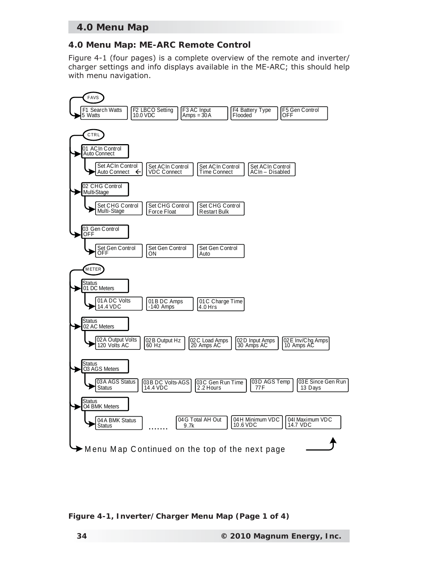# **4.0 Menu Map**

#### **4.0 Menu Map: ME-ARC Remote Control**

Figure 4-1 (four pages) is a complete overview of the remote and inverter/ charger settings and info displays available in the ME-ARC; this should help with menu navigation.



*Figure 4-1, Inverter/Charger Menu Map (Page 1 of 4)*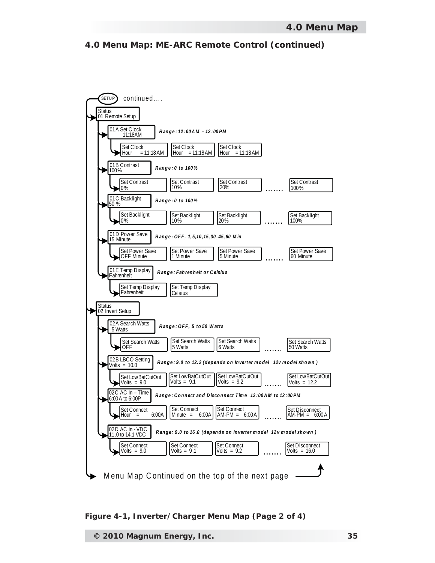**4.0 Menu Map: ME-ARC Remote Control (continued)**



*Figure 4-1, Inverter/Charger Menu Map (Page 2 of 4)*

**© 2010 Magnum Energy, Inc. 35**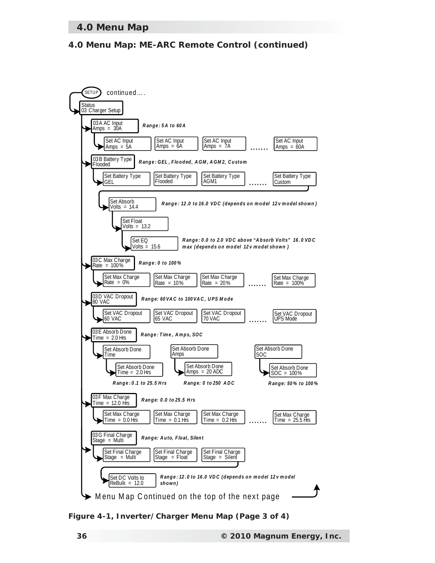### **4.0 Menu Map**

### **4.0 Menu Map: ME-ARC Remote Control (continued)**



*Figure 4-1, Inverter/Charger Menu Map (Page 3 of 4)*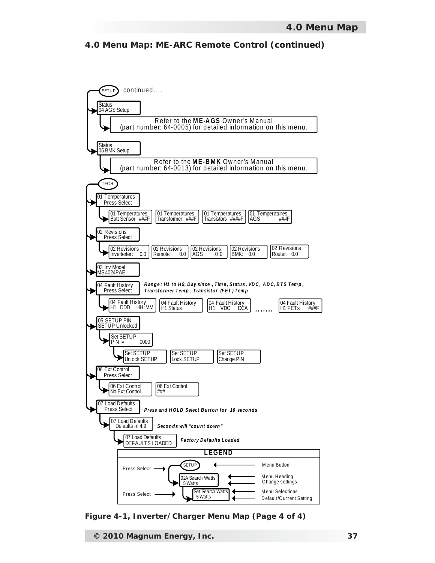#### **4.0 Menu Map: ME-ARC Remote Control (continued)**



*Figure 4-1, Inverter/Charger Menu Map (Page 4 of 4)*

**© 2010 Magnum Energy, Inc. 37**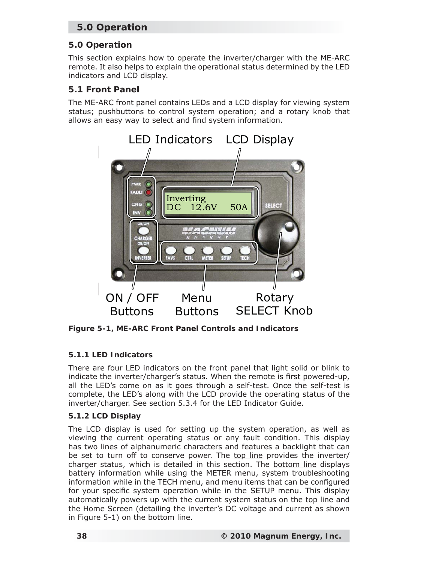# **5.0 Operation**

# **5.0 Operation**

This section explains how to operate the inverter/charger with the ME-ARC remote. It also helps to explain the operational status determined by the LED indicators and LCD display.

#### **5.1 Front Panel**

The ME-ARC front panel contains LEDs and a LCD display for viewing system status; pushbuttons to control system operation; and a rotary knob that allows an easy way to select and find system information.



*Figure 5-1, ME-ARC Front Panel Controls and Indicators*

#### **5.1.1 LED Indicators**

There are four LED indicators on the front panel that light solid or blink to indicate the inverter/charger's status. When the remote is first powered-up, all the LED's come on as it goes through a self-test. Once the self-test is complete, the LED's along with the LCD provide the operating status of the inverter/charger. See section 5.3.4 for the LED Indicator Guide.

#### **5.1.2 LCD Display**

The LCD display is used for setting up the system operation, as well as viewing the current operating status or any fault condition. This display has two lines of alphanumeric characters and features a backlight that can be set to turn off to conserve power. The top line provides the inverter/ charger status, which is detailed in this section. The bottom line displays battery information while using the METER menu, system troubleshooting information while in the TECH menu, and menu items that can be configured for your specific system operation while in the SETUP menu. This display automatically powers up with the current system status on the top line and the Home Screen (detailing the inverter's DC voltage and current as shown in Figure 5-1) on the bottom line.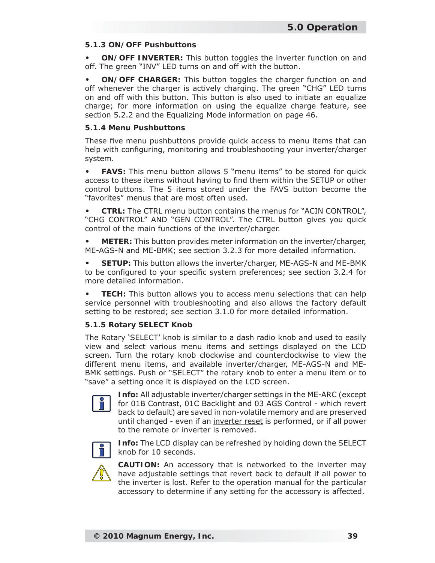#### **5.1.3 ON/OFF Pushbuttons**

**ON/OFF INVERTER:** This button toggles the inverter function on and off. The green "INV" LED turns on and off with the button. **•**

**ON/OFF CHARGER:** This button toggles the charger function on and off whenever the charger is actively charging. The green "CHG" LED turns on and off with this button. This button is also used to initiate an equalize charge; for more information on using the equalize charge feature, see section 5.2.2 and the Equalizing Mode information on page 46. **•**

#### **5.1.4 Menu Pushbuttons**

These five menu pushbuttons provide quick access to menu items that can help with configuring, monitoring and troubleshooting your inverter/charger system.

**FAVS:** This menu button allows 5 "menu items" to be stored for quick access to these items without having to find them within the SETUP or other control buttons. The 5 items stored under the FAVS button become the "favorites" menus that are most often used. **•**

**CTRL:** The CTRL menu button contains the menus for "ACIN CONTROL", "CHG CONTROL" AND "GEN CONTROL". The CTRL button gives you quick control of the main functions of the inverter/charger. **•**

**METER:** This button provides meter information on the inverter/charger, ME-AGS-N and ME-BMK; see section 3.2.3 for more detailed information. **•**

**SETUP:** This button allows the inverter/charger, ME-AGS-N and ME-BMK to be configured to your specific system preferences; see section 3.2.4 for more detailed information. **•**

**TECH:** This button allows you to access menu selections that can help service personnel with troubleshooting and also allows the factory default setting to be restored; see section 3.1.0 for more detailed information. **•**

#### **5.1.5 Rotary SELECT Knob**

The Rotary 'SELECT' knob is similar to a dash radio knob and used to easily view and select various menu items and settings displayed on the LCD screen. Turn the rotary knob clockwise and counterclockwise to view the different menu items, and available inverter/charger, ME-AGS-N and ME-BMK settings. Push or "SELECT" the rotary knob to enter a menu item or to "save" a setting once it is displayed on the LCD screen.



**Info:** All adjustable inverter/charger settings in the ME-ARC (except for 01B Contrast, 01C Backlight and 03 AGS Control - which revert back to default) are saved in non-volatile memory and are preserved until changed - even if an inverter reset is performed, or if all power to the remote or inverter is removed.



**Info:** The LCD display can be refreshed by holding down the SELECT knob for 10 seconds.



**CAUTION:** An accessory that is networked to the inverter may have adjustable settings that revert back to default if all power to the inverter is lost. Refer to the operation manual for the particular accessory to determine if any setting for the accessory is affected.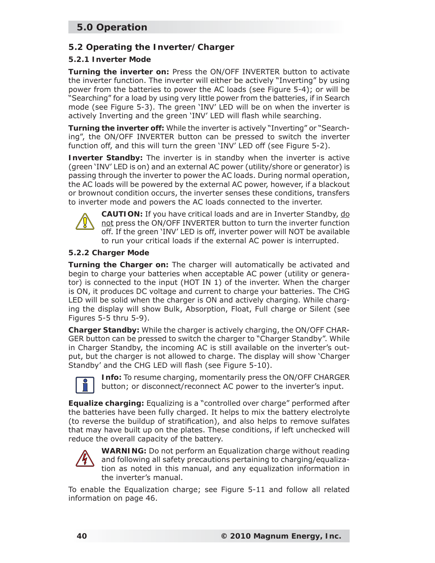# **5.0 Operation**

# **5.2 Operating the Inverter/Charger**

#### **5.2.1 Inverter Mode**

**Turning the inverter on:** Press the ON/OFF INVERTER button to activate the inverter function. The inverter will either be actively "Inverting" by using power from the batteries to power the AC loads (see Figure 5-4); or will be "Searching" for a load by using very little power from the batteries, if in Search mode (see Figure 5-3). The green 'INV' LED will be on when the inverter is actively Inverting and the green 'INV' LED will flash while searching.

**Turning the inverter off:** While the inverter is actively "Inverting" or "Searching", the ON/OFF INVERTER button can be pressed to switch the inverter function off, and this will turn the green 'INV' LED off (see Figure 5-2).

**Inverter Standby:** The inverter is in standby when the inverter is active (green 'INV' LED is on) and an external AC power (utility/shore or generator) is passing through the inverter to power the AC loads. During normal operation, the AC loads will be powered by the external AC power, however, if a blackout or brownout condition occurs, the inverter senses these conditions, transfers to inverter mode and powers the AC loads connected to the inverter.



**CAUTION:** If you have critical loads and are in Inverter Standby, do not press the ON/OFF INVERTER button to turn the inverter function off. If the green 'INV' LED is off, inverter power will NOT be available to run your critical loads if the external AC power is interrupted.

#### **5.2.2 Charger Mode**

**Turning the Charger on:** The charger will automatically be activated and begin to charge your batteries when acceptable AC power (utility or generator) is connected to the input (HOT IN 1) of the inverter. When the charger is ON, it produces DC voltage and current to charge your batteries. The CHG LED will be solid when the charger is ON and actively charging. While charging the display will show Bulk, Absorption, Float, Full charge or Silent (see Figures 5-5 thru 5-9).

**Charger Standby:** While the charger is actively charging, the ON/OFF CHAR-GER button can be pressed to switch the charger to "Charger Standby". While in Charger Standby, the incoming AC is still available on the inverter's output, but the charger is not allowed to charge. The display will show 'Charger Standby' and the CHG LED will flash (see Figure 5-10).



**Info:** To resume charging, momentarily press the ON/OFF CHARGER button; or disconnect/reconnect AC power to the inverter's input.

**Equalize charging:** Equalizing is a "controlled over charge" performed after the batteries have been fully charged. It helps to mix the battery electrolyte (to reverse the buildup of stratification), and also helps to remove sulfates that may have built up on the plates. These conditions, if left unchecked will reduce the overall capacity of the battery.



**WARNING:** Do not perform an Equalization charge without reading and following all safety precautions pertaining to charging/equalization as noted in this manual, and any equalization information in the inverter's manual.

To enable the Equalization charge; see Figure 5-11 and follow all related information on page 46.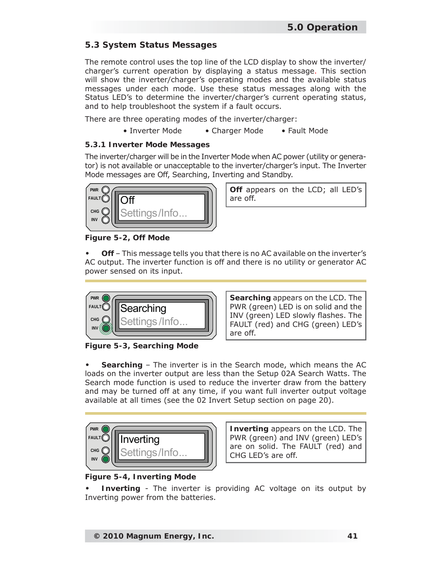### **5.3 System Status Messages**

The remote control uses the top line of the LCD display to show the inverter/ charger's current operation by displaying a status message. This section will show the inverter/charger's operating modes and the available status messages under each mode. Use these status messages along with the Status LED's to determine the inverter/charger's current operating status, and to help troubleshoot the system if a fault occurs.

There are three operating modes of the inverter/charger:

• Inverter Mode • Charger Mode • Fault Mode

#### **5.3.1 Inverter Mode Messages**

The inverter/charger will be in the Inverter Mode when AC power (utility or generator) is not available or unacceptable to the inverter/charger's input. The Inverter Mode messages are Off, Searching, Inverting and Standby.



**Off** appears on the LCD; all LED's

*Figure 5-2, Off Mode*

**Off** – This message tells you that there is no AC available on the inverter's AC output. The inverter function is off and there is no utility or generator AC power sensed on its input. **•**



*Figure 5-3, Searching Mode*

**Searching** appears on the LCD. The PWR (green) LED is on solid and the INV (green) LED slowly flashes. The FAULT (red) and CHG (green) LED's are off.

**Searching** – The inverter is in the Search mode, which means the AC loads on the inverter output are less than the Setup 02A Search Watts. The Search mode function is used to reduce the inverter draw from the battery and may be turned off at any time, if you want full inverter output voltage available at all times (see the 02 Invert Setup section on page 20). **•**



**Inverting** appears on the LCD. The PWR (green) and INV (green) LED's are on solid. The FAULT (red) and CHG LED's are off.

# *Figure 5-4, Inverting Mode*

**Inverting** - The inverter is providing AC voltage on its output by Inverting power from the batteries. **•**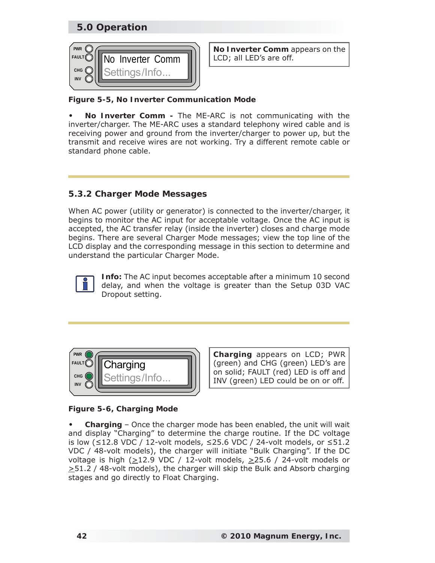# **5.0 Operation**



**No Inverter Comm** appears on the

#### *Figure 5-5, No Inverter Communication Mode*

**No Inverter Comm -** The ME-ARC is not communicating with the inverter/charger. The ME-ARC uses a standard telephony wired cable and is receiving power and ground from the inverter/charger to power up, but the transmit and receive wires are not working. Try a different remote cable or standard phone cable. **•**

#### **5.3.2 Charger Mode Messages**

When AC power (utility or generator) is connected to the inverter/charger, it begins to monitor the AC input for acceptable voltage. Once the AC input is accepted, the AC transfer relay (inside the inverter) closes and charge mode begins. There are several Charger Mode messages; view the top line of the LCD display and the corresponding message in this section to determine and understand the particular Charger Mode.



**Info:** The AC input becomes acceptable after a minimum 10 second delay, and when the voltage is greater than the Setup 03D VAC Dropout setting.



**Charging** appears on LCD; PWR (green) and CHG (green) LED's are on solid; FAULT (red) LED is off and INV (green) LED could be on or off.

# *Figure 5-6, Charging Mode*

**Charging** – Once the charger mode has been enabled, the unit will wait and display "Charging" to determine the charge routine. If the DC voltage is low (≤12.8 VDC / 12-volt models, ≤25.6 VDC / 24-volt models, or ≤51.2 VDC / 48-volt models), the charger will initiate "Bulk Charging". If the DC voltage is high ( $\geq$ 12.9 VDC / 12-volt models,  $\geq$ 25.6 / 24-volt models or  $\geq$ 51.2 / 48-volt models), the charger will skip the Bulk and Absorb charging stages and go directly to Float Charging. **•**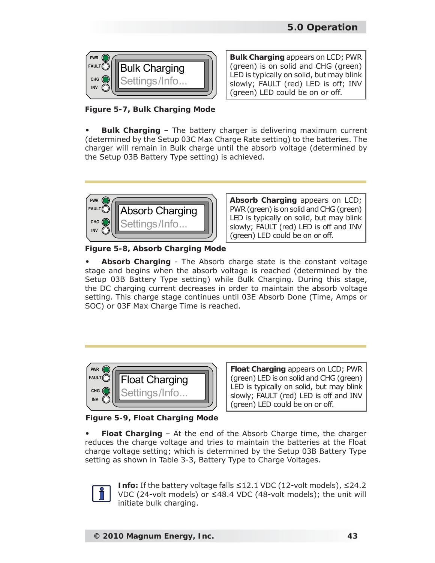

**Bulk Charging** appears on LCD; PWR (green) is on solid and CHG (green) LED is typically on solid, but may blink slowly; FAULT (red) LED is off; INV (green) LED could be on or off.

*Figure 5-7, Bulk Charging Mode*

**Bulk Charging** – The battery charger is delivering maximum current (determined by the Setup 03C Max Charge Rate setting) to the batteries. The charger will remain in Bulk charge until the absorb voltage (determined by the Setup 03B Battery Type setting) is achieved. **•**



**Absorb Charging** appears on LCD; PWR (green) is on solid and CHG (green) LED is typically on solid, but may blink slowly; FAULT (red) LED is off and INV (green) LED could be on or off.

*Figure 5-8, Absorb Charging Mode*

**Absorb Charging** - The Absorb charge state is the constant voltage stage and begins when the absorb voltage is reached (determined by the Setup 03B Battery Type setting) while Bulk Charging. During this stage, the DC charging current decreases in order to maintain the absorb voltage setting. This charge stage continues until 03E Absorb Done (Time, Amps or SOC) or 03F Max Charge Time is reached. **•**



**Float Charging** appears on LCD; PWR (green) LED is on solid and CHG (green) LED is typically on solid, but may blink slowly; FAULT (red) LED is off and INV (green) LED could be on or off.

*Figure 5-9, Float Charging Mode*

**Float Charging** – At the end of the Absorb Charge time, the charger reduces the charge voltage and tries to maintain the batteries at the Float charge voltage setting; which is determined by the Setup 03B Battery Type setting as shown in Table 3-3, Battery Type to Charge Voltages. **•**



**Info:** If the battery voltage falls ≤12.1 VDC (12-volt models), ≤24.2 VDC (24-volt models) or ≤48.4 VDC (48-volt models); the unit will initiate bulk charging.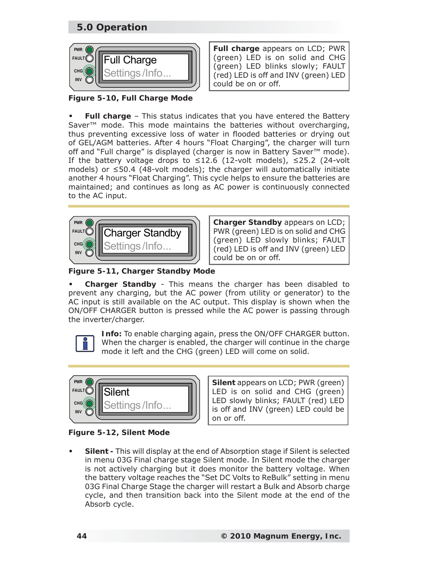# **5.0 Operation**



**Full charge** appears on LCD; PWR (green) LED is on solid and CHG (green) LED blinks slowly; FAULT (red) LED is off and INV (green) LED could be on or off.

*Figure 5-10, Full Charge Mode*

**Full charge** – This status indicates that you have entered the Battery Saver<sup>™</sup> mode. This mode maintains the batteries without overcharging, thus preventing excessive loss of water in flooded batteries or drying out of GEL/AGM batteries. After 4 hours "Float Charging", the charger will turn off and "Full charge" is displayed (charger is now in Battery Saver™ mode). If the battery voltage drops to  $\leq$ 12.6 (12-volt models),  $\leq$ 25.2 (24-volt models) or ≤50.4 (48-volt models); the charger will automatically initiate another 4 hours "Float Charging". This cycle helps to ensure the batteries are maintained; and continues as long as AC power is continuously connected to the AC input. **•**



**Charger Standby** appears on LCD; PWR (green) LED is on solid and CHG (green) LED slowly blinks; FAULT (red) LED is off and INV (green) LED could be on or off.

*Figure 5-11, Charger Standby Mode*

**Charger Standby** - This means the charger has been disabled to prevent any charging, but the AC power (from utility or generator) to the AC input is still available on the AC output. This display is shown when the ON/OFF CHARGER button is pressed while the AC power is passing through the inverter/charger. **•**



**Info:** To enable charging again, press the ON/OFF CHARGER button. When the charger is enabled, the charger will continue in the charge mode it left and the CHG (green) LED will come on solid.



**Silent** appears on LCD; PWR (green) LED is on solid and CHG (green) LED slowly blinks; FAULT (red) LED is off and INV (green) LED could be on or off.

*Figure 5-12, Silent Mode*

**Silent -** This will display at the end of Absorption stage if Silent is selected in menu 03G Final charge stage Silent mode. In Silent mode the charger is not actively charging but it does monitor the battery voltage. When the battery voltage reaches the "Set DC Volts to ReBulk" setting in menu 03G Final Charge Stage the charger will restart a Bulk and Absorb charge cycle, and then transition back into the Silent mode at the end of the Absorb cycle. **•**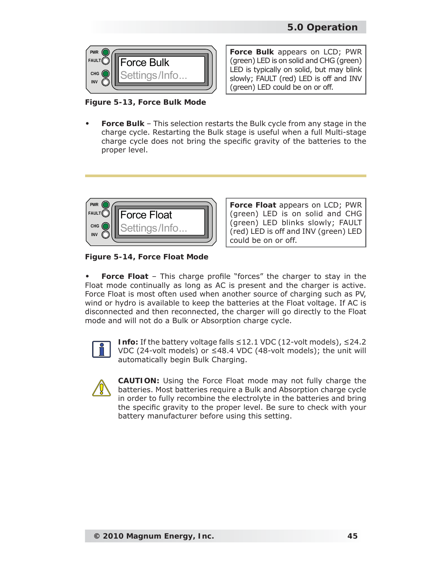

*Figure 5-13, Force Bulk Mode*

**Force Bulk** appears on LCD; PWR (green) LED is on solid and CHG (green) LED is typically on solid, but may blink slowly; FAULT (red) LED is off and INV (green) LED could be on or off.

**Force Bulk** – This selection restarts the Bulk cycle from any stage in the charge cycle. Restarting the Bulk stage is useful when a full Multi-stage charge cycle does not bring the specific gravity of the batteries to the proper level. **•**



**Force Float** appears on LCD; PWR (green) LED is on solid and CHG (green) LED blinks slowly; FAULT (red) LED is off and INV (green) LED could be on or off.

*Figure 5-14, Force Float Mode*

**Force Float** – This charge profile "forces" the charger to stay in the Float mode continually as long as AC is present and the charger is active. Force Float is most often used when another source of charging such as PV, wind or hydro is available to keep the batteries at the Float voltage. If AC is disconnected and then reconnected, the charger will go directly to the Float mode and will not do a Bulk or Absorption charge cycle. **•**



**Info:** If the battery voltage falls ≤12.1 VDC (12-volt models), ≤24.2 VDC (24-volt models) or ≤48.4 VDC (48-volt models); the unit will automatically begin Bulk Charging.



**CAUTION:** Using the Force Float mode may not fully charge the batteries. Most batteries require a Bulk and Absorption charge cycle in order to fully recombine the electrolyte in the batteries and bring the specific gravity to the proper level. Be sure to check with your battery manufacturer before using this setting.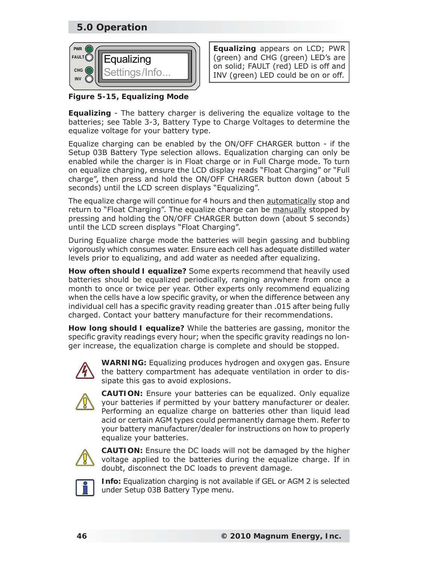# **5.0 Operation**



**Equalizing** appears on LCD; PWR (green) and CHG (green) LED's are on solid; FAULT (red) LED is off and INV (green) LED could be on or off.

*Figure 5-15, Equalizing Mode*

**Equalizing** - The battery charger is delivering the equalize voltage to the batteries; see Table 3-3, *Battery Type to Charge Voltages* to determine the equalize voltage for your battery type.

Equalize charging can be enabled by the ON/OFF CHARGER button - if the Setup 03B Battery Type selection allows. Equalization charging can only be enabled while the charger is in Float charge or in Full Charge mode. To turn on equalize charging, ensure the LCD display reads "Float Charging" or "Full charge", then press and hold the ON/OFF CHARGER button down (about 5 seconds) until the LCD screen displays "Equalizing".

The equalize charge will continue for 4 hours and then automatically stop and return to "Float Charging". The equalize charge can be manually stopped by pressing and holding the ON/OFF CHARGER button down (about 5 seconds) until the LCD screen displays "Float Charging".

During Equalize charge mode the batteries will begin gassing and bubbling vigorously which consumes water. Ensure each cell has adequate distilled water levels prior to equalizing, and add water as needed after equalizing.

**How often should I equalize?** Some experts recommend that heavily used batteries should be equalized periodically, ranging anywhere from once a month to once or twice per year. Other experts only recommend equalizing when the cells have a low specific gravity, or when the difference between any individual cell has a specific gravity reading greater than .015 after being fully charged. Contact your battery manufacture for their recommendations.

**How long should I equalize?** While the batteries are gassing, monitor the specific gravity readings every hour; when the specific gravity readings no longer increase, the equalization charge is complete and should be stopped.



**WARNING:** Equalizing produces hydrogen and oxygen gas. Ensure the battery compartment has adequate ventilation in order to dissipate this gas to avoid explosions.



**CAUTION:** Ensure your batteries can be equalized. Only equalize your batteries if permitted by your battery manufacturer or dealer. Performing an equalize charge on batteries other than liquid lead acid or certain AGM types could permanently damage them. Refer to your battery manufacturer/dealer for instructions on how to properly equalize your batteries.



**CAUTION:** Ensure the DC loads will not be damaged by the higher voltage applied to the batteries during the equalize charge. If in doubt, disconnect the DC loads to prevent damage.



**Info:** Equalization charging is not available if GEL or AGM 2 is selected under *Setup 03B Battery Type* menu.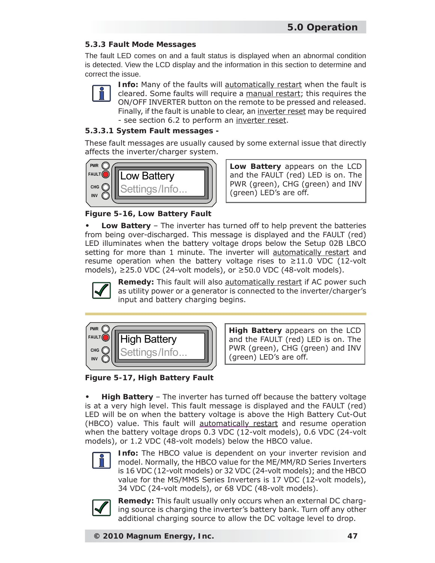#### **5.3.3 Fault Mode Messages**

The fault LED comes on and a fault status is displayed when an abnormal condition is detected. View the LCD display and the information in this section to determine and correct the issue.



**Info:** Many of the faults will **automatically restart** when the fault is cleared. Some faults will require a manual restart; this requires the ON/OFF INVERTER button on the remote to be pressed and released. Finally, if the fault is unable to clear, an inverter reset may be required - see section 6.2 to perform an inverter reset.

#### **5.3.3.1 System Fault messages -**

These fault messages are usually caused by some external issue that directly affects the inverter/charger system.



**Low Battery** appears on the LCD and the FAULT (red) LED is on. The PWR (green), CHG (green) and INV (green) LED's are off.

*Figure 5-16, Low Battery Fault*

**Low Battery** – The inverter has turned off to help prevent the batteries from being over-discharged. This message is displayed and the FAULT (red) LED illuminates when the battery voltage drops below the Setup 02B LBCO setting for more than 1 minute. The inverter will automatically restart and resume operation when the battery voltage rises to  $\geq$ 11.0 VDC (12-volt models), ≥25.0 VDC (24-volt models), or ≥50.0 VDC (48-volt models). **•**



**Remedy:** This fault will also automatically restart if AC power such as utility power or a generator is connected to the inverter/charger's input and battery charging begins.



**High Battery** appears on the LCD and the FAULT (red) LED is on. The PWR (green), CHG (green) and INV (green) LED's are off.

*Figure 5-17, High Battery Fault*

**High Battery** – The inverter has turned off because the battery voltage is at a very high level. This fault message is displayed and the FAULT (red) LED will be on when the battery voltage is above the High Battery Cut-Out (HBCO) value. This fault will automatically restart and resume operation when the battery voltage drops 0.3 VDC (12-volt models), 0.6 VDC (24-volt models), or 1.2 VDC (48-volt models) below the HBCO value. **•**



**Info:** The HBCO value is dependent on your inverter revision and model. Normally, the HBCO value for the ME/MM/RD Series Inverters is 16 VDC (12-volt models) or 32 VDC (24-volt models); and the HBCO value for the MS/MMS Series Inverters is 17 VDC (12-volt models), 34 VDC (24-volt models), or 68 VDC (48-volt models).



**Remedy:** This fault usually only occurs when an external DC charging source is charging the inverter's battery bank. Turn off any other additional charging source to allow the DC voltage level to drop.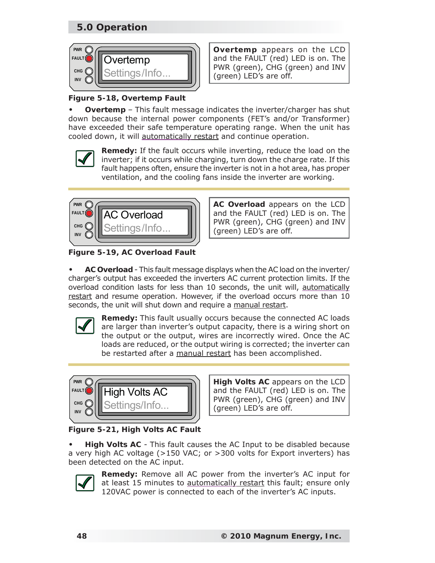# **5.0 Operation**



**Overtemp** appears on the LCD and the FAULT (red) LED is on. The PWR (green), CHG (green) and INV (green) LED's are off.

# *Figure 5-18, Overtemp Fault*

**Overtemp** – This fault message indicates the inverter/charger has shut down because the internal power components (FET's and/or Transformer) have exceeded their safe temperature operating range. When the unit has cooled down, it will automatically restart and continue operation. **•**



**Remedy:** If the fault occurs while inverting, reduce the load on the inverter; if it occurs while charging, turn down the charge rate. If this fault happens often, ensure the inverter is not in a hot area, has proper ventilation, and the cooling fans inside the inverter are working.



**AC Overload** appears on the LCD and the FAULT (red) LED is on. The PWR (green), CHG (green) and INV (green) LED's are off.

*Figure 5-19, AC Overload Fault*

**AC Overload** - This fault message displays when the AC load on the inverter/ charger's output has exceeded the inverters AC current protection limits. If the overload condition lasts for less than 10 seconds, the unit will, automatically restart and resume operation. However, if the overload occurs more than 10 seconds, the unit will shut down and require a manual restart. **•**



**Remedy:** This fault usually occurs because the connected AC loads are larger than inverter's output capacity, there is a wiring short on the output or the output, wires are incorrectly wired. Once the AC loads are reduced, or the output wiring is corrected; the inverter can be restarted after a manual restart has been accomplished.



**High Volts AC** appears on the LCD and the FAULT (red) LED is on. The PWR (green), CHG (green) and INV (green) LED's are off.

*Figure 5-21, High Volts AC Fault*

**High Volts AC** - This fault causes the AC Input to be disabled because a very high AC voltage (>150 VAC; or >300 volts for Export inverters) has been detected on the AC input. **•**



**Remedy:** Remove all AC power from the inverter's AC input for at least 15 minutes to automatically restart this fault; ensure only 120VAC power is connected to each of the inverter's AC inputs.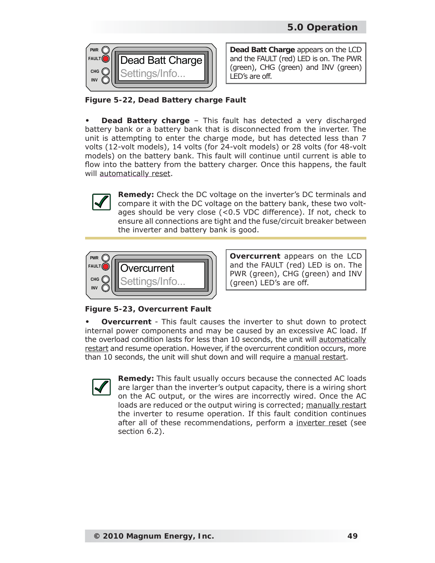

**Dead Batt Charge** appears on the LCD and the FAULT (red) LED is on. The PWR (green), CHG (green) and INV (green) LED's are off.

*Figure 5-22, Dead Battery charge Fault*

**Dead Battery charge** – This fault has detected a very discharged battery bank or a battery bank that is disconnected from the inverter. The unit is attempting to enter the charge mode, but has detected less than 7 volts (12-volt models), 14 volts (for 24-volt models) or 28 volts (for 48-volt models) on the battery bank. This fault will continue until current is able to flow into the battery from the battery charger. Once this happens, the fault will automatically reset. **•**



**Remedy:** Check the DC voltage on the inverter's DC terminals and compare it with the DC voltage on the battery bank, these two voltages should be very close (<0.5 VDC difference). If not, check to ensure all connections are tight and the fuse/circuit breaker between the inverter and battery bank is good.



**Overcurrent** appears on the LCD and the FAULT (red) LED is on. The PWR (green), CHG (green) and INV (green) LED's are off.

*Figure 5-23, Overcurrent Fault*

**Overcurrent** - This fault causes the inverter to shut down to protect internal power components and may be caused by an excessive AC load. If the overload condition lasts for less than 10 seconds, the unit will automatically restart and resume operation. However, if the overcurrent condition occurs, more than 10 seconds, the unit will shut down and will require a manual restart. **•**



**Remedy:** This fault usually occurs because the connected AC loads are larger than the inverter's output capacity, there is a wiring short on the AC output, or the wires are incorrectly wired. Once the AC loads are reduced or the output wiring is corrected; manually restart the inverter to resume operation. If this fault condition continues after all of these recommendations, perform a inverter reset (see section 6.2).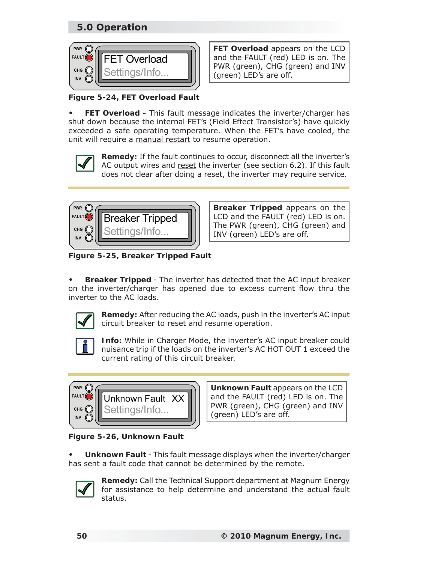# **5.0 Operation**



**FET Overload** appears on the LCD and the FAULT (red) LED is on. The PWR (green), CHG (green) and INV (green) LED's are off.

*Figure 5-24, FET Overload Fault*

**FET Overload -** This fault message indicates the inverter/charger has shut down because the internal FET's (Field Effect Transistor's) have quickly exceeded a safe operating temperature. When the FET's have cooled, the unit will require a manual restart to resume operation. **•**



**Remedy:** If the fault continues to occur, disconnect all the inverter's AC output wires and reset the inverter (see section 6.2). If this fault does not clear after doing a reset, the inverter may require service.



**Breaker Tripped** appears on the LCD and the FAULT (red) LED is on. The PWR (green), CHG (green) and INV (green) LED's are off.

*Figure 5-25, Breaker Tripped Fault*

**Breaker Tripped** - The inverter has detected that the AC input breaker on the inverter/charger has opened due to excess current flow thru the inverter to the AC loads. **•**



**Remedy:** After reducing the AC loads, push in the inverter's AC input circuit breaker to reset and resume operation.



**Info:** While in Charger Mode, the inverter's AC input breaker could nuisance trip if the loads on the inverter's AC HOT OUT 1 exceed the current rating of this circuit breaker.



**Unknown Fault** appears on the LCD and the FAULT (red) LED is on. The PWR (green), CHG (green) and INV (green) LED's are off.

*Figure 5-26, Unknown Fault*

**Unknown Fault** - This fault message displays when the inverter/charger has sent a fault code that cannot be determined by the remote. **•**



**Remedy:** Call the Technical Support department at Magnum Energy for assistance to help determine and understand the actual fault status.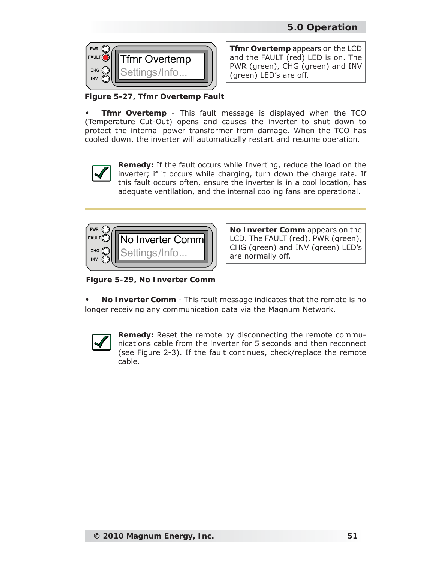

**Tfmr Overtemp** appears on the LCD and the FAULT (red) LED is on. The PWR (green), CHG (green) and INV (green) LED's are off.

*Figure 5-27, Tfmr Overtemp Fault*

**Tfmr Overtemp** - This fault message is displayed when the TCO (Temperature Cut-Out) opens and causes the inverter to shut down to protect the internal power transformer from damage. When the TCO has cooled down, the inverter will automatically restart and resume operation. **•**



**Remedy:** If the fault occurs while Inverting, reduce the load on the inverter; if it occurs while charging, turn down the charge rate. If this fault occurs often, ensure the inverter is in a cool location, has adequate ventilation, and the internal cooling fans are operational.



**No Inverter Comm** appears on the LCD. The FAULT (red), PWR (green), CHG (green) and INV (green) LED's are normally off.

*Figure 5-29, No Inverter Comm*

**No Inverter Comm** - This fault message indicates that the remote is no longer receiving any communication data via the Magnum Network. **•**



**Remedy:** Reset the remote by disconnecting the remote communications cable from the inverter for 5 seconds and then reconnect (see Figure 2-3). If the fault continues, check/replace the remote cable.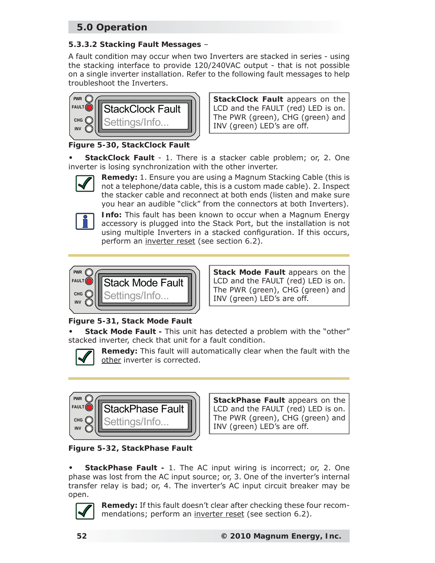# **5.0 Operation**

#### **5.3.3.2 Stacking Fault Messages** –

A fault condition may occur when two Inverters are stacked in series - using the stacking interface to provide 120/240VAC output - that is not possible on a single inverter installation. Refer to the following fault messages to help troubleshoot the Inverters.



**StackClock Fault** appears on the LCD and the FAULT (red) LED is on. The PWR (green), CHG (green) and INV (green) LED's are off.

*Figure 5-30, StackClock Fault*

**StackClock Fault** - 1. There is a stacker cable problem; or, 2. One inverter is losing synchronization with the other inverter. **•**



**Remedy:** 1. Ensure you are using a Magnum Stacking Cable (this is not a telephone/data cable, this is a custom made cable). 2. Inspect the stacker cable and reconnect at both ends (listen and make sure you hear an audible "click" from the connectors at both Inverters).



**Info:** This fault has been known to occur when a Magnum Energy accessory is plugged into the Stack Port, but the installation is not using multiple Inverters in a stacked configuration. If this occurs, perform an inverter reset (see section 6.2).



**Stack Mode Fault** appears on the LCD and the FAULT (red) LED is on. The PWR (green), CHG (green) and INV (green) LED's are off.

# *Figure 5-31, Stack Mode Fault*

**Stack Mode Fault -** This unit has detected a problem with the "other" stacked inverter, check that unit for a fault condition. **•**



**Remedy:** This fault will automatically clear when the fault with the other inverter is corrected.



**StackPhase Fault** appears on the LCD and the FAULT (red) LED is on. The PWR (green), CHG (green) and INV (green) LED's are off.

*Figure 5-32, StackPhase Fault*

**StackPhase Fault -** 1. The AC input wiring is incorrect; or, 2. One phase was lost from the AC input source; or, 3. One of the inverter's internal transfer relay is bad; or, 4. The inverter's AC input circuit breaker may be open. **•**



**Remedy:** If this fault doesn't clear after checking these four recommendations; perform an inverter reset (see section 6.2).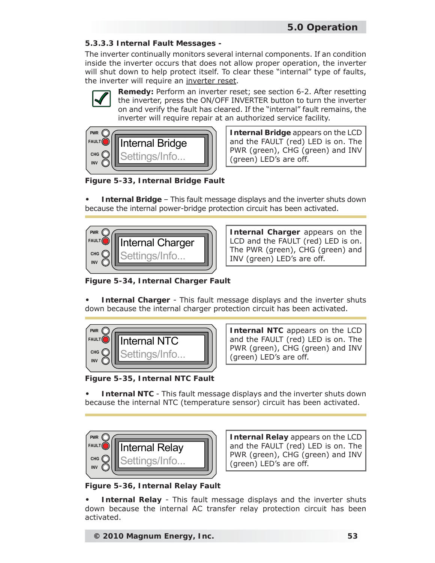#### **5.3.3.3 Internal Fault Messages -**

The inverter continually monitors several internal components. If an condition inside the inverter occurs that does not allow proper operation, the inverter will shut down to help protect itself. To clear these "internal" type of faults, the inverter will require an inverter reset.



**Remedy:** Perform an inverter reset; see section 6-2. After resetting the inverter, press the ON/OFF INVERTER button to turn the inverter on and verify the fault has cleared. If the "internal" fault remains, the inverter will require repair at an authorized service facility.



**Internal Bridge** appears on the LCD and the FAULT (red) LED is on. The PWR (green), CHG (green) and INV (green) LED's are off.

*Figure 5-33, Internal Bridge Fault*

**Internal Bridge** – This fault message displays and the inverter shuts down because the internal power-bridge protection circuit has been activated. **•**



**Internal Charger** appears on the LCD and the FAULT (red) LED is on. The PWR (green), CHG (green) and INV (green) LED's are off.

*Figure 5-34, Internal Charger Fault*

**Internal Charger** - This fault message displays and the inverter shuts down because the internal charger protection circuit has been activated. **•**



**Internal NTC** appears on the LCD and the FAULT (red) LED is on. The PWR (green), CHG (green) and INV (green) LED's are off.

*Figure 5-35, Internal NTC Fault*

**Internal NTC** - This fault message displays and the inverter shuts down because the internal NTC (temperature sensor) circuit has been activated. **•**



**Internal Relay** appears on the LCD and the FAULT (red) LED is on. The PWR (green), CHG (green) and INV (green) LED's are off.

*Figure 5-36, Internal Relay Fault*

**Internal Relay** - This fault message displays and the inverter shuts down because the internal AC transfer relay protection circuit has been activated. **•**

**© 2010 Magnum Energy, Inc. 53**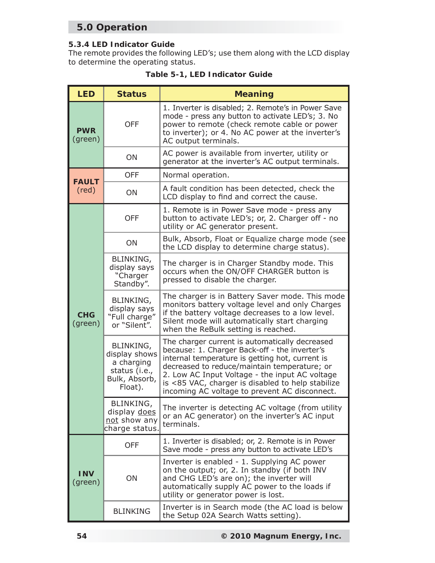# **5.0 Operation**

#### **5.3.4 LED Indicator Guide**

The remote provides the following LED's; use them along with the LCD display to determine the operating status.

| <b>LED</b>            | <b>Status</b>                                                                                | <b>Meaning</b>                                                                                                                                                                                                                                                                                                                                             |
|-----------------------|----------------------------------------------------------------------------------------------|------------------------------------------------------------------------------------------------------------------------------------------------------------------------------------------------------------------------------------------------------------------------------------------------------------------------------------------------------------|
| <b>PWR</b><br>(green) | <b>OFF</b>                                                                                   | 1. Inverter is disabled; 2. Remote's in Power Save<br>mode - press any button to activate LED's; 3. No<br>power to remote (check remote cable or power<br>to inverter); or 4. No AC power at the inverter's<br>AC output terminals.                                                                                                                        |
|                       | ON                                                                                           | AC power is available from inverter, utility or<br>generator at the inverter's AC output terminals.                                                                                                                                                                                                                                                        |
| <b>FAULT</b>          | <b>OFF</b>                                                                                   | Normal operation.                                                                                                                                                                                                                                                                                                                                          |
| $(\text{red})$        | ON                                                                                           | A fault condition has been detected, check the<br>LCD display to find and correct the cause.                                                                                                                                                                                                                                                               |
|                       | <b>OFF</b>                                                                                   | 1. Remote is in Power Save mode - press any<br>button to activate LED's; or, 2. Charger off - no<br>utility or AC generator present.                                                                                                                                                                                                                       |
|                       | ON                                                                                           | Bulk, Absorb, Float or Equalize charge mode (see<br>the LCD display to determine charge status).                                                                                                                                                                                                                                                           |
|                       | BLINKING,<br>display says<br>"Charger<br>Standby".                                           | The charger is in Charger Standby mode. This<br>occurs when the ON/OFF CHARGER button is<br>pressed to disable the charger.                                                                                                                                                                                                                                |
| <b>CHG</b><br>(green) | BLINKING,<br>display says<br>"Full charge"<br>or "Silent".                                   | The charger is in Battery Saver mode. This mode<br>monitors battery voltage level and only Charges<br>if the battery voltage decreases to a low level.<br>Silent mode will automatically start charging<br>when the ReBulk setting is reached.                                                                                                             |
|                       | <b>BLINKING,</b><br>display shows<br>a charging<br>status (i.e.,<br>Bulk, Absorb,<br>Float). | The charger current is automatically decreased<br>because: 1. Charger Back-off - the inverter's<br>internal temperature is getting hot, current is<br>decreased to reduce/maintain temperature; or<br>2. Low AC Input Voltage - the input AC voltage<br>is <85 VAC, charger is disabled to help stabilize<br>incoming AC voltage to prevent AC disconnect. |
|                       | BLINKING,<br>display does<br>not show any<br>charge status.                                  | The inverter is detecting AC voltage (from utility<br>or an AC generator) on the inverter's AC input<br>terminals.                                                                                                                                                                                                                                         |
|                       | <b>OFF</b>                                                                                   | 1. Inverter is disabled; or, 2. Remote is in Power<br>Save mode - press any button to activate LED's                                                                                                                                                                                                                                                       |
| <b>INV</b><br>(green) | ON                                                                                           | Inverter is enabled - 1. Supplying AC power<br>on the output; or, 2. In standby (if both INV<br>and CHG LED's are on); the inverter will<br>automatically supply AC power to the loads if<br>utility or generator power is lost.                                                                                                                           |
|                       | <b>BLINKING</b>                                                                              | Inverter is in Search mode (the AC load is below<br>the Setup 02A Search Watts setting).                                                                                                                                                                                                                                                                   |

| Table 5-1, LED Indicator Guide |  |  |  |  |  |
|--------------------------------|--|--|--|--|--|
|--------------------------------|--|--|--|--|--|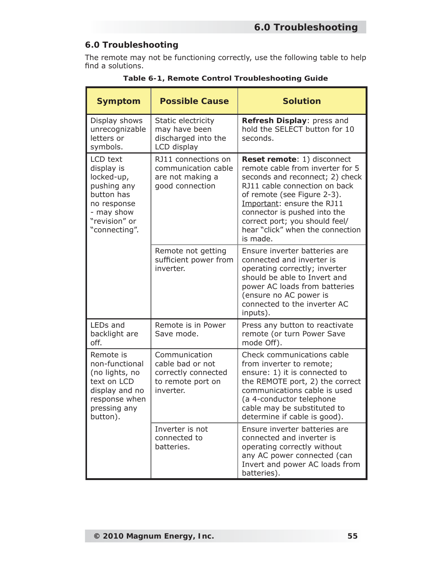### **6.0 Troubleshooting**

The remote may not be functioning correctly, use the following table to help find a solutions.

| <b>Symptom</b>                                                                                                                   | <b>Possible Cause</b>                                                                      | <b>Solution</b>                                                                                                                                                                                                                                                                                                    |
|----------------------------------------------------------------------------------------------------------------------------------|--------------------------------------------------------------------------------------------|--------------------------------------------------------------------------------------------------------------------------------------------------------------------------------------------------------------------------------------------------------------------------------------------------------------------|
| Display shows<br>unrecognizable<br>letters or<br>symbols.                                                                        | Static electricity<br>may have been<br>discharged into the<br>LCD display                  | Refresh Display: press and<br>hold the SELECT button for 10<br>seconds.                                                                                                                                                                                                                                            |
| LCD text<br>display is<br>locked-up,<br>pushing any<br>button has<br>no response<br>- may show<br>"revision" or<br>"connecting". | RJ11 connections on<br>communication cable<br>are not making a<br>good connection          | Reset remote: 1) disconnect<br>remote cable from inverter for 5<br>seconds and reconnect; 2) check<br>RJ11 cable connection on back<br>of remote (see Figure 2-3).<br>Important: ensure the RJ11<br>connector is pushed into the<br>correct port; you should feel/<br>hear "click" when the connection<br>is made. |
|                                                                                                                                  | Remote not getting<br>sufficient power from<br>inverter.                                   | Ensure inverter batteries are<br>connected and inverter is<br>operating correctly; inverter<br>should be able to Invert and<br>power AC loads from batteries<br>(ensure no AC power is<br>connected to the inverter AC<br>inputs).                                                                                 |
| LEDs and<br>backlight are<br>off.                                                                                                | Remote is in Power<br>Save mode.                                                           | Press any button to reactivate<br>remote (or turn Power Save<br>mode Off).                                                                                                                                                                                                                                         |
| Remote is<br>non-functional<br>(no lights, no<br>text on LCD<br>display and no<br>response when<br>pressing any<br>button).      | Communication<br>cable bad or not<br>correctly connected<br>to remote port on<br>inverter. | Check communications cable<br>from inverter to remote;<br>ensure: 1) it is connected to<br>the REMOTE port, 2) the correct<br>communications cable is used<br>(a 4-conductor telephone<br>cable may be substituted to<br>determine if cable is good).                                                              |
|                                                                                                                                  | Inverter is not<br>connected to<br>batteries.                                              | Ensure inverter batteries are<br>connected and inverter is<br>operating correctly without<br>any AC power connected (can<br>Invert and power AC loads from<br>batteries).                                                                                                                                          |

| Table 6-1, Remote Control Troubleshooting Guide |  |  |  |  |
|-------------------------------------------------|--|--|--|--|
|-------------------------------------------------|--|--|--|--|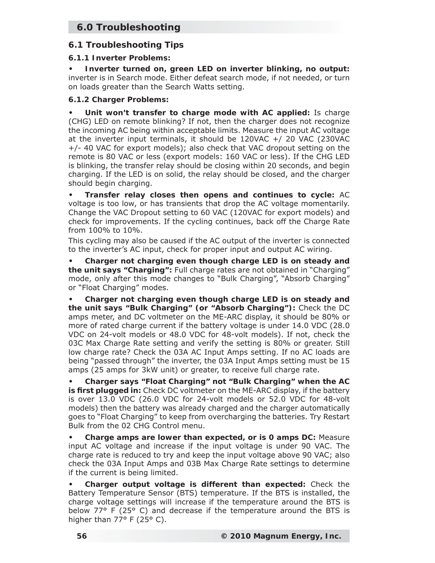# **6.0 Troubleshooting**

### **6.1 Troubleshooting Tips**

#### **6.1.1 Inverter Problems:**

**Inverter turned on, green LED on inverter blinking, no output:**  inverter is in Search mode. Either defeat search mode, if not needed, or turn on loads greater than the Search Watts setting. **•**

#### **6.1.2 Charger Problems:**

**Unit won't transfer to charge mode with AC applied:** Is charge (CHG) LED on remote blinking? If not, then the charger does not recognize the incoming AC being within acceptable limits. Measure the input AC voltage at the inverter input terminals, it should be 120VAC +/ 20 VAC (230VAC +/- 40 VAC for export models); also check that VAC dropout setting on the remote is 80 VAC or less (export models: 160 VAC or less). If the CHG LED is blinking, the transfer relay should be closing within 20 seconds, and begin charging. If the LED is on solid, the relay should be closed, and the charger should begin charging. **•**

**Transfer relay closes then opens and continues to cycle:** AC voltage is too low, or has transients that drop the AC voltage momentarily. Change the VAC Dropout setting to 60 VAC (120VAC for export models) and check for improvements. If the cycling continues, back off the C*harge Rate* from 100% to 10%. **•**

This cycling may also be caused if the AC output of the inverter is connected to the inverter's AC input, check for proper input and output AC wiring.

**Charger not charging even though charge LED is on steady and the unit says "Charging":** Full charge rates are not obtained in "Charging" mode, only after this mode changes to "Bulk Charging", "Absorb Charging" or "Float Charging" modes. **•**

**Charger not charging even though charge LED is on steady and the unit says "Bulk Charging" (or "Absorb Charging"):** Check the DC amps meter, and DC voltmeter on the ME-ARC display, it should be 80% or more of rated charge current if the battery voltage is under 14.0 VDC (28.0 VDC on 24-volt models or 48.0 VDC for 48-volt models). If not, check the 03C Max Charge Rate setting and verify the setting is 80% or greater. Still low charge rate? Check the 03A AC Input Amps setting. If no AC loads are being "passed through" the inverter, the 03A Input Amps setting must be 15 amps (25 amps for 3kW unit) or greater, to receive full charge rate. **•**

**Charger says "Float Charging" not "Bulk Charging" when the AC is fi rst plugged in:** Check DC voltmeter on the ME-ARC display, if the battery is over 13.0 VDC (26.0 VDC for 24-volt models or 52.0 VDC for 48-volt models) then the battery was already charged and the charger automatically goes to "Float Charging" to keep from overcharging the batteries. Try Restart Bulk from the 02 CHG Control menu. **•**

**Charge amps are lower than expected, or is 0 amps DC:** Measure input AC voltage and increase if the input voltage is under 90 VAC. The charge rate is reduced to try and keep the input voltage above 90 VAC; also check the 03A Input Amps and 03B Max Charge Rate settings to determine if the current is being limited. **•**

**Charger output voltage is different than expected:** Check the Battery Temperature Sensor (BTS) temperature. If the BTS is installed, the charge voltage settings will increase if the temperature around the BTS is below 77° F (25° C) and decrease if the temperature around the BTS is higher than  $77^{\circ}$  F (25° C). **•**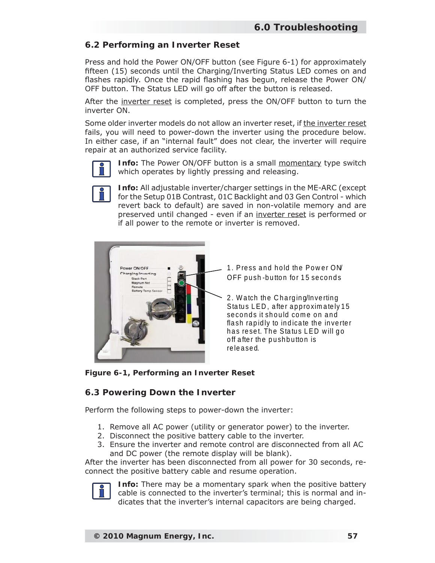### **6.2 Performing an Inverter Reset**

Press and hold the Power ON/OFF button (see Figure 6-1) for approximately fifteen (15) seconds until the Charging/Inverting Status LED comes on and flashes rapidly. Once the rapid flashing has begun, release the Power ON/ OFF button. The Status LED will go off after the button is released.

After the inverter reset is completed, press the ON/OFF button to turn the inverter ON.

Some older inverter models do not allow an inverter reset, if the inverter reset fails, you will need to power-down the inverter using the procedure below. In either case, if an "internal fault" does not clear, the inverter will require repair at an authorized service facility.



**Info:** The Power ON/OFF button is a small momentary type switch which operates by lightly pressing and releasing.



**Info:** All adjustable inverter/charger settings in the ME-ARC (except for the Setup 01B Contrast, 01C Backlight and 03 Gen Control - which revert back to default) are saved in non-volatile memory and are preserved until changed - even if an inverter reset is performed or if all power to the remote or inverter is removed.



1. Press and hold the Power ON OFF push -button for 15 seconds

2. Watch the Charging/Inverting Status LED, after approximately 15 seconds it should come on and flash rapidly to indicate the inverter has reset. The Status LED w ill go off after the pushbutton is re le a se d.

*Figure 6-1, Performing an Inverter Reset*

#### **6.3 Powering Down the Inverter**

Perform the following steps to power-down the inverter:

- 1. Remove all AC power (utility or generator power) to the inverter.
- 2. Disconnect the positive battery cable to the inverter.
- Ensure the inverter and remote control are disconnected from all AC 3.and DC power (the remote display will be blank).

After the inverter has been disconnected from all power for 30 seconds, reconnect the positive battery cable and resume operation.



**Info:** There may be a momentary spark when the positive battery cable is connected to the inverter's terminal; this is normal and indicates that the inverter's internal capacitors are being charged.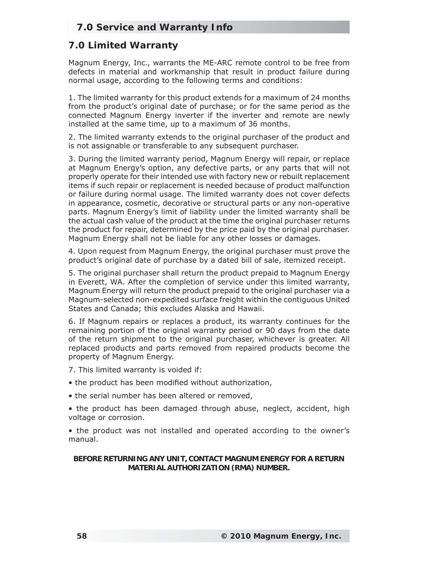# **7.0 Service and Warranty Info**

# **7.0 Limited Warranty**

Magnum Energy, Inc., warrants the ME-ARC remote control to be free from defects in material and workmanship that result in product failure during normal usage, according to the following terms and conditions:

1. The limited warranty for this product extends for a maximum of 24 months from the product's original date of purchase; or for the same period as the connected Magnum Energy inverter if the inverter and remote are newly installed at the same time, up to a maximum of 36 months.

2. The limited warranty extends to the original purchaser of the product and is not assignable or transferable to any subsequent purchaser.

3. During the limited warranty period, Magnum Energy will repair, or replace at Magnum Energy's option, any defective parts, or any parts that will not properly operate for their intended use with factory new or rebuilt replacement items if such repair or replacement is needed because of product malfunction or failure during normal usage. The limited warranty does not cover defects in appearance, cosmetic, decorative or structural parts or any non-operative parts. Magnum Energy's limit of liability under the limited warranty shall be the actual cash value of the product at the time the original purchaser returns the product for repair, determined by the price paid by the original purchaser. Magnum Energy shall not be liable for any other losses or damages.

4. Upon request from Magnum Energy, the original purchaser must prove the product's original date of purchase by a dated bill of sale, itemized receipt.

5. The original purchaser shall return the product prepaid to Magnum Energy in Everett, WA. After the completion of service under this limited warranty, Magnum Energy will return the product prepaid to the original purchaser via a Magnum-selected non-expedited surface freight within the contiguous United States and Canada; this excludes Alaska and Hawaii.

6. If Magnum repairs or replaces a product, its warranty continues for the remaining portion of the original warranty period or 90 days from the date of the return shipment to the original purchaser, whichever is greater. All replaced products and parts removed from repaired products become the property of Magnum Energy.

- 7. This limited warranty is voided if:
- the product has been modified without authorization,
- the serial number has been altered or removed,

• the product has been damaged through abuse, neglect, accident, high voltage or corrosion.

• the product was not installed and operated according to the owner's manual.

#### **BEFORE RETURNING ANY UNIT, CONTACT MAGNUM ENERGY FOR A RETURN MATERIAL AUTHORIZATION (RMA) NUMBER.**